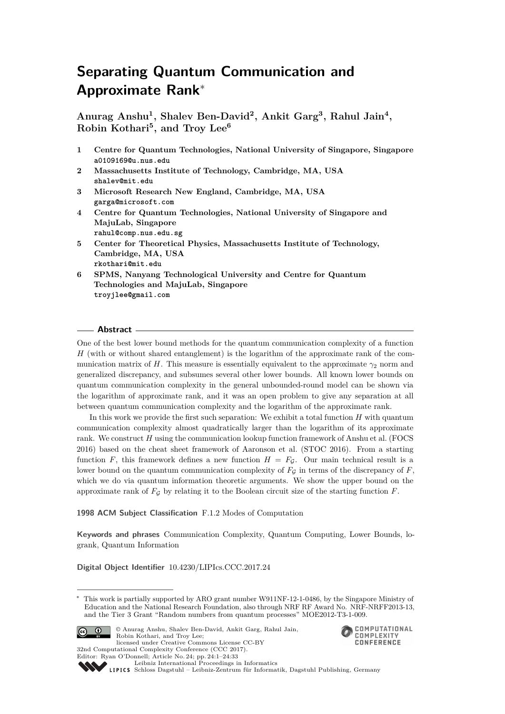# **Separating Quantum Communication and Approximate Rank**<sup>∗</sup>

**Anurag Anshu<sup>1</sup> , Shalev Ben-David<sup>2</sup> , Ankit Garg<sup>3</sup> , Rahul Jain<sup>4</sup> , Robin Kothari<sup>5</sup> , and Troy Lee<sup>6</sup>**

- **1 Centre for Quantum Technologies, National University of Singapore, Singapore a0109169@u.nus.edu**
- **2 Massachusetts Institute of Technology, Cambridge, MA, USA shalev@mit.edu**
- **3 Microsoft Research New England, Cambridge, MA, USA garga@microsoft.com**
- **4 Centre for Quantum Technologies, National University of Singapore and MajuLab, Singapore rahul@comp.nus.edu.sg**
- **5 Center for Theoretical Physics, Massachusetts Institute of Technology, Cambridge, MA, USA rkothari@mit.edu**
- **6 SPMS, Nanyang Technological University and Centre for Quantum Technologies and MajuLab, Singapore troyjlee@gmail.com**

#### **Abstract**

One of the best lower bound methods for the quantum communication complexity of a function *H* (with or without shared entanglement) is the logarithm of the approximate rank of the communication matrix of *H*. This measure is essentially equivalent to the approximate  $\gamma_2$  norm and generalized discrepancy, and subsumes several other lower bounds. All known lower bounds on quantum communication complexity in the general unbounded-round model can be shown via the logarithm of approximate rank, and it was an open problem to give any separation at all between quantum communication complexity and the logarithm of the approximate rank.

In this work we provide the first such separation: We exhibit a total function *H* with quantum communication complexity almost quadratically larger than the logarithm of its approximate rank. We construct *H* using the communication lookup function framework of Anshu et al. (FOCS 2016) based on the cheat sheet framework of Aaronson et al. (STOC 2016). From a starting function *F*, this framework defines a new function  $H = F<sub>G</sub>$ . Our main technical result is a lower bound on the quantum communication complexity of  $F<sub>G</sub>$  in terms of the discrepancy of  $F$ , which we do via quantum information theoretic arguments. We show the upper bound on the approximate rank of  $F<sub>G</sub>$  by relating it to the Boolean circuit size of the starting function *F*.

**1998 ACM Subject Classification** F.1.2 Modes of Computation

**Keywords and phrases** Communication Complexity, Quantum Computing, Lower Bounds, logrank, Quantum Information

**Digital Object Identifier** [10.4230/LIPIcs.CCC.2017.24](http://dx.doi.org/10.4230/LIPIcs.CCC.2017.24)

This work is partially supported by ARO grant number W911NF-12-1-0486, by the Singapore Ministry of Education and the National Research Foundation, also through NRF RF Award No. NRF-NRFF2013-13, and the Tier 3 Grant "Random numbers from quantum processes" MOE2012-T3-1-009.



© Anurag Anshu, Shalev Ben-David, Ankit Garg, Rahul Jain, Robin Kothari, and Troy Lee; licensed under Creative Commons License CC-BY 32nd Computational Complexity Conference (CCC 2017).



Editor: Ryan O'Donnell; Article No. 24; pp. 24:1–24[:33](#page-32-0) [Leibniz International Proceedings in Informatics](http://www.dagstuhl.de/lipics/)

[Schloss Dagstuhl – Leibniz-Zentrum für Informatik, Dagstuhl Publishing, Germany](http://www.dagstuhl.de)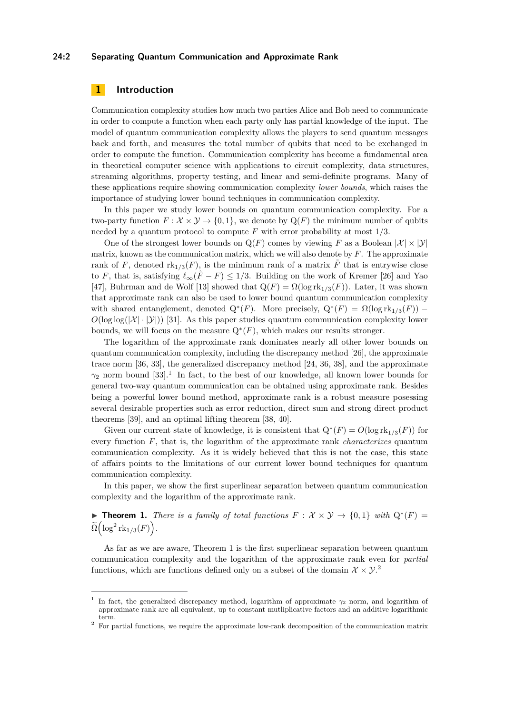#### **24:2 Separating Quantum Communication and Approximate Rank**

# **1 Introduction**

Communication complexity studies how much two parties Alice and Bob need to communicate in order to compute a function when each party only has partial knowledge of the input. The model of quantum communication complexity allows the players to send quantum messages back and forth, and measures the total number of qubits that need to be exchanged in order to compute the function. Communication complexity has become a fundamental area in theoretical computer science with applications to circuit complexity, data structures, streaming algorithms, property testing, and linear and semi-definite programs. Many of these applications require showing communication complexity *lower bounds*, which raises the importance of studying lower bound techniques in communication complexity.

In this paper we study lower bounds on quantum communication complexity. For a two-party function  $F: \mathcal{X} \times \mathcal{Y} \to \{0,1\}$ , we denote by  $Q(F)$  the minimum number of qubits needed by a quantum protocol to compute *F* with error probability at most 1*/*3.

One of the strongest lower bounds on  $Q(F)$  comes by viewing F as a Boolean  $|\mathcal{X}| \times |\mathcal{Y}|$ matrix, known as the communication matrix, which we will also denote by *F*. The approximate rank of *F*, denoted  $\text{rk}_{1/3}(F)$ , is the minimum rank of a matrix  $\tilde{F}$  that is entrywise close to *F*, that is, satisfying  $\ell_{\infty}(\tilde{F} - F) \leq 1/3$ . Building on the work of Kremer [\[26\]](#page-31-0) and Yao [\[47\]](#page-32-1), Buhrman and de Wolf [\[13\]](#page-31-1) showed that  $Q(F) = \Omega(\log \mathrm{rk}_{1/3}(F))$ . Later, it was shown that approximate rank can also be used to lower bound quantum communication complexity with shared entanglement, denoted  $Q^*(F)$ . More precisely,  $Q^*(F) = \Omega(\log \mathrm{rk}_{1/3}(F))$  –  $O(\log \log(|\mathcal{X}|\cdot|\mathcal{Y}|))$  [\[31\]](#page-32-2). As this paper studies quantum communication complexity lower bounds, we will focus on the measure  $Q^*(F)$ , which makes our results stronger.

The logarithm of the approximate rank dominates nearly all other lower bounds on quantum communication complexity, including the discrepancy method [\[26\]](#page-31-0), the approximate trace norm [\[36,](#page-32-3) [33\]](#page-32-4), the generalized discrepancy method [\[24,](#page-31-2) [36,](#page-32-3) [38\]](#page-32-5), and the approximate  $\gamma_2$  norm bound [\[33\]](#page-32-4).<sup>[1](#page-1-0)</sup> In fact, to the best of our knowledge, all known lower bounds for general two-way quantum communication can be obtained using approximate rank. Besides being a powerful lower bound method, approximate rank is a robust measure posessing several desirable properties such as error reduction, direct sum and strong direct product theorems [\[39\]](#page-32-6), and an optimal lifting theorem [\[38,](#page-32-5) [40\]](#page-32-7).

Given our current state of knowledge, it is consistent that  $Q^*(F) = O(\log \mathrm{rk}_{1/3}(F))$  for every function *F*, that is, the logarithm of the approximate rank *characterizes* quantum communication complexity. As it is widely believed that this is not the case, this state of affairs points to the limitations of our current lower bound techniques for quantum communication complexity.

In this paper, we show the first superlinear separation between quantum communication complexity and the logarithm of the approximate rank.

<span id="page-1-1"></span>**► Theorem 1.** *There is a family of total functions*  $F: \mathcal{X} \times \mathcal{Y} \rightarrow \{0,1\}$  *with*  $Q^*(F) =$  $\widetilde{\Omega}\Bigl(\log^2 \mathrm{rk}_{1/3}(F)\Bigr).$ 

As far as we are aware, [Theorem 1](#page-1-1) is the first superlinear separation between quantum communication complexity and the logarithm of the approximate rank even for *partial* functions, which are functions defined only on a subset of the domain  $\mathcal{X} \times \mathcal{Y}$ .

<span id="page-1-0"></span><sup>1</sup> In fact, the generalized discrepancy method, logarithm of approximate *γ*<sup>2</sup> norm, and logarithm of approximate rank are all equivalent, up to constant mutliplicative factors and an additive logarithmic term.

<span id="page-1-2"></span><sup>&</sup>lt;sup>2</sup> For partial functions, we require the approximate low-rank decomposition of the communication matrix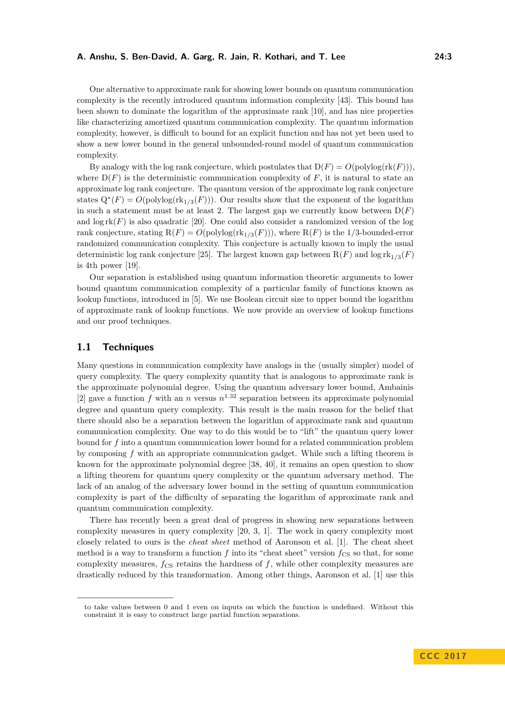One alternative to approximate rank for showing lower bounds on quantum communication complexity is the recently introduced quantum information complexity [\[43\]](#page-32-8). This bound has been shown to dominate the logarithm of the approximate rank [\[10\]](#page-30-0), and has nice properties like characterizing amortized quantum communication complexity. The quantum information complexity, however, is difficult to bound for an explicit function and has not yet been used to show a new lower bound in the general unbounded-round model of quantum communication complexity.

By analogy with the log rank conjecture, which postulates that  $D(F) = O(\text{polylog}(\text{rk}(F))),$ where  $D(F)$  is the deterministic communication complexity of F, it is natural to state an approximate log rank conjecture. The quantum version of the approximate log rank conjecture states  $Q^*(F) = O(\text{polylog}(\text{rk}_{1/3}(F)))$ . Our results show that the exponent of the logarithm in such a statement must be at least 2. The largest gap we currently know between  $D(F)$ and  $\log \mathrm{rk}(F)$  is also quadratic [\[20\]](#page-31-3). One could also consider a randomized version of the log rank conjecture, stating  $R(F) = O(polylog(rk_{1/3}(F)))$ , where  $R(F)$  is the 1/3-bounded-error randomized communication complexity. This conjecture is actually known to imply the usual deterministic log rank conjecture [\[25\]](#page-31-4). The largest known gap between  $R(F)$  and log  $rk_{1/3}(F)$ is 4th power [\[19\]](#page-31-5).

Our separation is established using quantum information theoretic arguments to lower bound quantum communication complexity of a particular family of functions known as lookup functions, introduced in [\[5\]](#page-30-1). We use Boolean circuit size to upper bound the logarithm of approximate rank of lookup functions. We now provide an overview of lookup functions and our proof techniques.

# **1.1 Techniques**

Many questions in communication complexity have analogs in the (usually simpler) model of query complexity. The query complexity quantity that is analogous to approximate rank is the approximate polynomial degree. Using the quantum adversary lower bound, Ambainis [\[2\]](#page-30-2) gave a function  $f$  with an  $n$  versus  $n^{1.32}$  separation between its approximate polynomial degree and quantum query complexity. This result is the main reason for the belief that there should also be a separation between the logarithm of approximate rank and quantum communication complexity. One way to do this would be to "lift" the quantum query lower bound for *f* into a quantum communication lower bound for a related communication problem by composing *f* with an appropriate communication gadget. While such a lifting theorem is known for the approximate polynomial degree [\[38,](#page-32-5) [40\]](#page-32-7), it remains an open question to show a lifting theorem for quantum query complexity or the quantum adversary method. The lack of an analog of the adversary lower bound in the setting of quantum communication complexity is part of the difficulty of separating the logarithm of approximate rank and quantum communication complexity.

There has recently been a great deal of progress in showing new separations between complexity measures in query complexity [\[20,](#page-31-3) [3,](#page-30-3) [1\]](#page-30-4). The work in query complexity most closely related to ours is the *cheat sheet* method of Aaronson et al. [\[1\]](#page-30-4). The cheat sheet method is a way to transform a function  $f$  into its "cheat sheet" version  $f_{\text{CS}}$  so that, for some complexity measures,  $f_{\text{CS}}$  retains the hardness of  $f$ , while other complexity measures are drastically reduced by this transformation. Among other things, Aaronson et al. [\[1\]](#page-30-4) use this

to take values between 0 and 1 even on inputs on which the function is undefined. Without this constraint it is easy to construct large partial function separations.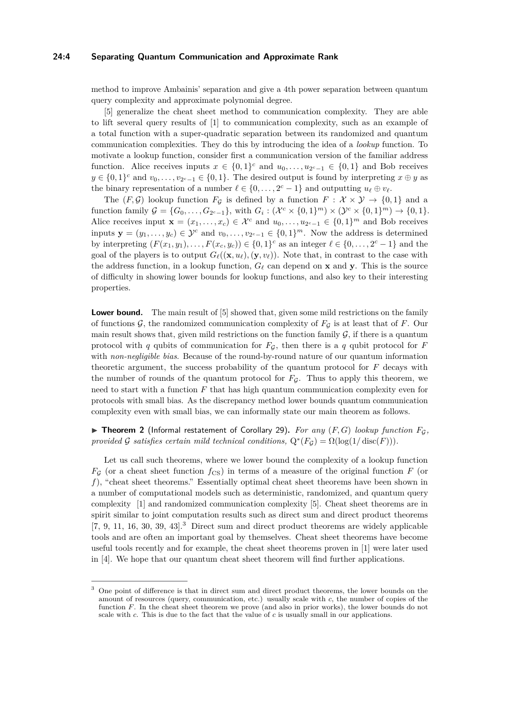#### **24:4 Separating Quantum Communication and Approximate Rank**

method to improve Ambainis' separation and give a 4th power separation between quantum query complexity and approximate polynomial degree.

[\[5\]](#page-30-1) generalize the cheat sheet method to communication complexity. They are able to lift several query results of [\[1\]](#page-30-4) to communication complexity, such as an example of a total function with a super-quadratic separation between its randomized and quantum communication complexities. They do this by introducing the idea of a *lookup* function. To motivate a lookup function, consider first a communication version of the familiar address function. Alice receives inputs  $x \in \{0,1\}^c$  and  $u_0, \ldots, u_{2^c-1} \in \{0,1\}$  and Bob receives  $y \in \{0,1\}^c$  and  $v_0, \ldots, v_{2^c-1} \in \{0,1\}$ . The desired output is found by interpreting  $x \oplus y$  as the binary representation of a number  $\ell \in \{0, \ldots, 2^c - 1\}$  and outputting  $u_\ell \oplus v_\ell$ .

The  $(F, \mathcal{G})$  lookup function  $F_{\mathcal{G}}$  is defined by a function  $F : \mathcal{X} \times \mathcal{Y} \to \{0,1\}$  and a function family  $\mathcal{G} = \{G_0, \ldots, G_{2^c-1}\}\$ , with  $G_i : (\mathcal{X}^c \times \{0,1\}^m) \times (\mathcal{Y}^c \times \{0,1\}^m) \to \{0,1\}$ . Alice receives input  $\mathbf{x} = (x_1, \dots, x_c) \in \mathcal{X}^c$  and  $u_0, \dots, u_{2^c-1} \in \{0,1\}^m$  and Bob receives inputs  $\mathbf{y} = (y_1, \ldots, y_c) \in \mathcal{Y}^c$  and  $v_0, \ldots, v_{2^c-1} \in \{0,1\}^m$ . Now the address is determined by interpreting  $(F(x_1, y_1), \ldots, F(x_c, y_c)) \in \{0, 1\}^c$  as an integer  $\ell \in \{0, \ldots, 2^c - 1\}$  and the goal of the players is to output  $G_{\ell}((\mathbf{x}, u_{\ell}), (\mathbf{y}, v_{\ell}))$ . Note that, in contrast to the case with the address function, in a lookup function,  $G_\ell$  can depend on **x** and **y**. This is the source of difficulty in showing lower bounds for lookup functions, and also key to their interesting properties.

**Lower bound.** The main result of [\[5\]](#page-30-1) showed that, given some mild restrictions on the family of functions  $\mathcal{G}$ , the randomized communication complexity of  $F<sub>G</sub>$  is at least that of *F*. Our main result shows that, given mild restrictions on the function family  $G$ , if there is a quantum protocol with *q* qubits of communication for  $F_g$ , then there is a *q* qubit protocol for *F* with *non-negligible bias*. Because of the round-by-round nature of our quantum information theoretic argument, the success probability of the quantum protocol for *F* decays with the number of rounds of the quantum protocol for  $F<sub>G</sub>$ . Thus to apply this theorem, we need to start with a function *F* that has high quantum communication complexity even for protocols with small bias. As the discrepancy method lower bounds quantum communication complexity even with small bias, we can informally state our main theorem as follows.

<span id="page-3-1"></span> $\triangleright$  **Theorem 2** (Informal restatement of [Corollary 29\)](#page-18-0). For any (F, G) lookup function  $F_G$ , *provided* G *satisfies certain mild technical conditions,*  $Q^*(F_{\mathcal{G}}) = \Omega(\log(1/\text{disc}(F)))$ .

Let us call such theorems, where we lower bound the complexity of a lookup function  $F<sub>G</sub>$  (or a cheat sheet function  $f<sub>CS</sub>$ ) in terms of a measure of the original function *F* (or *f*), "cheat sheet theorems." Essentially optimal cheat sheet theorems have been shown in a number of computational models such as deterministic, randomized, and quantum query complexity [\[1\]](#page-30-4) and randomized communication complexity [\[5\]](#page-30-1). Cheat sheet theorems are in spirit similar to joint computation results such as direct sum and direct product theorems  $[7, 9, 11, 16, 30, 39, 43]$  $[7, 9, 11, 16, 30, 39, 43]$  $[7, 9, 11, 16, 30, 39, 43]$  $[7, 9, 11, 16, 30, 39, 43]$  $[7, 9, 11, 16, 30, 39, 43]$  $[7, 9, 11, 16, 30, 39, 43]$  $[7, 9, 11, 16, 30, 39, 43]$  $[7, 9, 11, 16, 30, 39, 43]$  $[7, 9, 11, 16, 30, 39, 43]$  $[7, 9, 11, 16, 30, 39, 43]$  $[7, 9, 11, 16, 30, 39, 43]$  $[7, 9, 11, 16, 30, 39, 43]$  $[7, 9, 11, 16, 30, 39, 43]$ <sup>[3](#page-3-0)</sup> Direct sum and direct product theorems are widely applicable tools and are often an important goal by themselves. Cheat sheet theorems have become useful tools recently and for example, the cheat sheet theorems proven in [\[1\]](#page-30-4) were later used in [\[4\]](#page-30-7). We hope that our quantum cheat sheet theorem will find further applications.

<span id="page-3-0"></span><sup>&</sup>lt;sup>3</sup> One point of difference is that in direct sum and direct product theorems, the lower bounds on the amount of resources (query, communication, etc.) usually scale with *c*, the number of copies of the function *F*. In the cheat sheet theorem we prove (and also in prior works), the lower bounds do not scale with *c*. This is due to the fact that the value of *c* is usually small in our applications.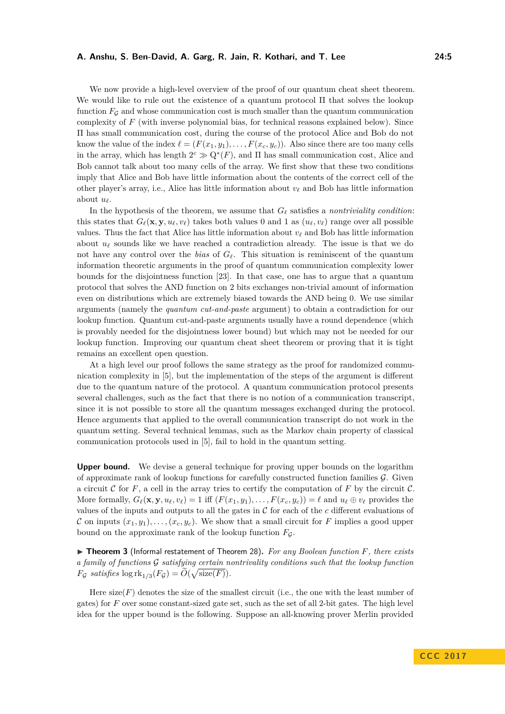We now provide a high-level overview of the proof of our quantum cheat sheet theorem. We would like to rule out the existence of a quantum protocol  $\Pi$  that solves the lookup function  $F_G$  and whose communication cost is much smaller than the quantum communication complexity of *F* (with inverse polynomial bias, for technical reasons explained below). Since Π has small communication cost, during the course of the protocol Alice and Bob do not know the value of the index  $\ell = (F(x_1, y_1), \ldots, F(x_c, y_c))$ . Also since there are too many cells in the array, which has length  $2^c \gg Q^*(F)$ , and  $\Pi$  has small communication cost, Alice and Bob cannot talk about too many cells of the array. We first show that these two conditions imply that Alice and Bob have little information about the contents of the correct cell of the other player's array, i.e., Alice has little information about  $v_\ell$  and Bob has little information about  $u_{\ell}$ .

In the hypothesis of the theorem, we assume that  $G_\ell$  satisfies a *nontriviality condition*: this states that  $G_{\ell}(\mathbf{x}, \mathbf{y}, u_{\ell}, v_{\ell})$  takes both values 0 and 1 as  $(u_{\ell}, v_{\ell})$  range over all possible values. Thus the fact that Alice has little information about  $v_\ell$  and Bob has little information about  $u_\ell$  sounds like we have reached a contradiction already. The issue is that we do not have any control over the *bias* of  $G_\ell$ . This situation is reminiscent of the quantum information theoretic arguments in the proof of quantum communication complexity lower bounds for the disjointness function [\[23\]](#page-31-8). In that case, one has to argue that a quantum protocol that solves the AND function on 2 bits exchanges non-trivial amount of information even on distributions which are extremely biased towards the AND being 0. We use similar arguments (namely the *quantum cut-and-paste* argument) to obtain a contradiction for our lookup function. Quantum cut-and-paste arguments usually have a round dependence (which is provably needed for the disjointness lower bound) but which may not be needed for our lookup function. Improving our quantum cheat sheet theorem or proving that it is tight remains an excellent open question.

At a high level our proof follows the same strategy as the proof for randomized communication complexity in [\[5\]](#page-30-1), but the implementation of the steps of the argument is different due to the quantum nature of the protocol. A quantum communication protocol presents several challenges, such as the fact that there is no notion of a communication transcript, since it is not possible to store all the quantum messages exchanged during the protocol. Hence arguments that applied to the overall communication transcript do not work in the quantum setting. Several technical lemmas, such as the Markov chain property of classical communication protocols used in [\[5\]](#page-30-1), fail to hold in the quantum setting.

**Upper bound.** We devise a general technique for proving upper bounds on the logarithm of approximate rank of lookup functions for carefully constructed function families  $\mathcal{G}$ . Given a circuit C for  $F$ , a cell in the array tries to certify the computation of  $F$  by the circuit  $\mathcal{C}$ . More formally,  $G_{\ell}(\mathbf{x}, \mathbf{y}, u_{\ell}, v_{\ell}) = 1$  iff  $(F(x_1, y_1), \ldots, F(x_c, y_c)) = \ell$  and  $u_{\ell} \oplus v_{\ell}$  provides the values of the inputs and outputs to all the gates in C for each of the *c* different evaluations of C on inputs  $(x_1, y_1), \ldots, (x_c, y_c)$ . We show that a small circuit for F implies a good upper bound on the approximate rank of the lookup function  $F<sub>G</sub>$ .

<span id="page-4-0"></span>▶ **Theorem 3** (Informal restatement of [Theorem 28\)](#page-18-1). For any Boolean function *F*, there exists *a family of functions* G *satisfying certain nontrivality conditions such that the lookup function*  $F_{\mathcal{G}}$  *satisfies*  $\log \mathrm{rk}_{1/3}(F_{\mathcal{G}}) = \widetilde{O}(\sqrt{\mathrm{size}(F)})$ .

Here  $size(F)$  denotes the size of the smallest circuit (i.e., the one with the least number of gates) for *F* over some constant-sized gate set, such as the set of all 2-bit gates. The high level idea for the upper bound is the following. Suppose an all-knowing prover Merlin provided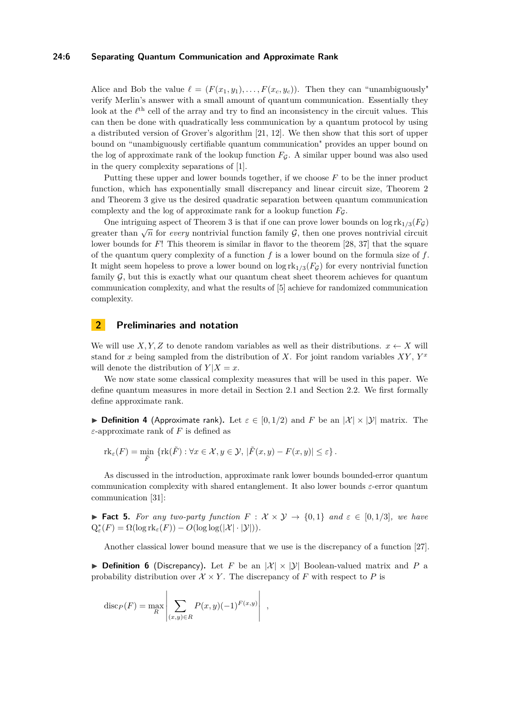#### **24:6 Separating Quantum Communication and Approximate Rank**

Alice and Bob the value  $\ell = (F(x_1, y_1), \ldots, F(x_c, y_c))$ . Then they can "unambiguously" verify Merlin's answer with a small amount of quantum communication. Essentially they look at the  $\ell^{\text{th}}$  cell of the array and try to find an inconsistency in the circuit values. This can then be done with quadratically less communication by a quantum protocol by using a distributed version of Grover's algorithm [\[21,](#page-31-9) [12\]](#page-31-10). We then show that this sort of upper bound on "unambiguously certifiable quantum communication" provides an upper bound on the log of approximate rank of the lookup function  $F<sub>G</sub>$ . A similar upper bound was also used in the query complexity separations of [\[1\]](#page-30-4).

Putting these upper and lower bounds together, if we choose *F* to be the inner product function, which has exponentially small discrepancy and linear circuit size, [Theorem 2](#page-3-1) and [Theorem 3](#page-4-0) give us the desired quadratic separation between quantum communication complexty and the log of approximate rank for a lookup function  $F<sub>G</sub>$ .

One intriguing aspect of [Theorem 3](#page-4-0) is that if one can prove lower bounds on  $\log \mathrm{rk}_{1/3}(F_G)$ greater than  $\sqrt{n}$  for *every* nontrivial function family  $\mathcal{G}$ , then one proves nontrivial circuit circuit lower bounds for *F*! This theorem is similar in flavor to the theorem [\[28,](#page-32-10) [37\]](#page-32-11) that the square of the quantum query complexity of a function *f* is a lower bound on the formula size of *f*. It might seem hopeless to prove a lower bound on  $\log \mathrm{rk}_{1/3}(F_G)$  for every nontrivial function family  $G$ , but this is exactly what our quantum cheat sheet theorem achieves for quantum communication complexity, and what the results of [\[5\]](#page-30-1) achieve for randomized communication complexity.

# **2 Preliminaries and notation**

We will use  $X, Y, Z$  to denote random variables as well as their distributions.  $x \leftarrow X$  will stand for *x* being sampled from the distribution of *X*. For joint random variables *XY* , *Y x* will denote the distribution of  $Y|X=x$ .

We now state some classical complexity measures that will be used in this paper. We define quantum measures in more detail in [Section 2.1](#page-6-0) and [Section 2.2.](#page-12-0) We first formally define approximate rank.

**Definition 4** (Approximate rank). Let  $\varepsilon \in [0, 1/2)$  and F be an  $|\mathcal{X}| \times |\mathcal{Y}|$  matrix. The *ε*-approximate rank of *F* is defined as

$$
\mathrm{rk}_{\varepsilon}(F) = \min_{\tilde{F}} \left\{ \mathrm{rk}(\tilde{F}) : \forall x \in \mathcal{X}, y \in \mathcal{Y}, \, |\tilde{F}(x, y) - F(x, y)| \le \varepsilon \right\}.
$$

As discussed in the introduction, approximate rank lower bounds bounded-error quantum communication complexity with shared entanglement. It also lower bounds *ε*-error quantum communication [\[31\]](#page-32-2):

**► Fact 5.** For any two-party function  $F: \mathcal{X} \times \mathcal{Y} \rightarrow \{0,1\}$  and  $\varepsilon \in [0,1/3]$ , we have  $Q_{\varepsilon}^*(F) = \Omega(\log \mathrm{rk}_{\varepsilon}(F)) - O(\log \log(|\mathcal{X}|\cdot|\mathcal{Y}|)).$ 

Another classical lower bound measure that we use is the discrepancy of a function [\[27\]](#page-31-11).

<span id="page-5-0"></span>**Definition 6** (Discrepancy). Let F be an  $|\mathcal{X}| \times |\mathcal{Y}|$  Boolean-valued matrix and P a probability distribution over  $\mathcal{X} \times Y$ . The discrepancy of *F* with respect to *P* is

$$
\operatorname{disc}_P(F) = \max_R \left| \sum_{(x,y)\in R} P(x,y)(-1)^{F(x,y)} \right| ,
$$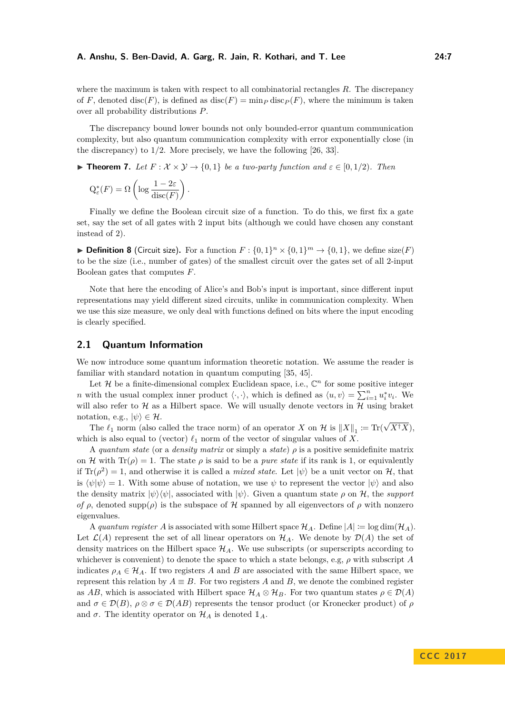where the maximum is taken with respect to all combinatorial rectangles *R*. The discrepancy of *F*, denoted disc(*F*), is defined as disc(*F*) = min<sub>*P*</sub> disc<sub>*P*</sub>(*F*), where the minimum is taken over all probability distributions *P*.

The discrepancy bound lower bounds not only bounded-error quantum communication complexity, but also quantum communication complexity with error exponentially close (in the discrepancy) to 1*/*2. More precisely, we have the following [\[26,](#page-31-0) [33\]](#page-32-4).

<span id="page-6-1"></span>**► Theorem 7.** Let  $F: \mathcal{X} \times \mathcal{Y} \rightarrow \{0, 1\}$  be a two-party function and  $\varepsilon \in [0, 1/2)$ . Then

$$
Q_{\varepsilon}^*(F) = \Omega\left(\log \frac{1 - 2\varepsilon}{\mathrm{disc}(F)}\right).
$$

Finally we define the Boolean circuit size of a function. To do this, we first fix a gate set, say the set of all gates with 2 input bits (although we could have chosen any constant instead of 2).

**Definition 8** (Circuit size). For a function  $F: \{0,1\}^n \times \{0,1\}^m \to \{0,1\}$ , we define size(*F*) to be the size (i.e., number of gates) of the smallest circuit over the gates set of all 2-input Boolean gates that computes *F*.

Note that here the encoding of Alice's and Bob's input is important, since different input representations may yield different sized circuits, unlike in communication complexity. When we use this size measure, we only deal with functions defined on bits where the input encoding is clearly specified.

# <span id="page-6-0"></span>**2.1 Quantum Information**

We now introduce some quantum information theoretic notation. We assume the reader is familiar with standard notation in quantum computing [\[35,](#page-32-12) [45\]](#page-32-13).

Let  $\mathcal H$  be a finite-dimensional complex Euclidean space, i.e.,  $\mathbb C^n$  for some positive integer *n* with the usual complex inner product  $\langle \cdot, \cdot \rangle$ , which is defined as  $\langle u, v \rangle = \sum_{i=1}^{n} u_i^* v_i$ . We will also refer to  $H$  as a Hilbert space. We will usually denote vectors in  $H$  using braket notation, e.g.,  $|\psi\rangle \in \mathcal{H}$ . √

The  $\ell_1$  norm (also called the trace norm) of an operator *X* on  $\mathcal{H}$  is  $||X||_1 \coloneqq \text{Tr}(\ell_1)$ *X*†*X*), which is also equal to (vector)  $\ell_1$  norm of the vector of singular values of *X*.

A *quantum state* (or a *density matrix* or simply a *state*) *ρ* is a positive semidefinite matrix on H with  $Tr(\rho) = 1$ . The state  $\rho$  is said to be a *pure state* if its rank is 1, or equivalently if  $\text{Tr}(\rho^2) = 1$ , and otherwise it is called a *mixed state*. Let  $|\psi\rangle$  be a unit vector on H, that is  $\langle \psi | \psi \rangle = 1$ . With some abuse of notation, we use  $\psi$  to represent the vector  $|\psi \rangle$  and also the density matrix  $|\psi\rangle\langle\psi|$ , associated with  $|\psi\rangle$ . Given a quantum state  $\rho$  on H, the *support of*  $\rho$ , denoted supp $(\rho)$  is the subspace of H spanned by all eigenvectors of  $\rho$  with nonzero eigenvalues.

A *quantum register* A is associated with some Hilbert space  $\mathcal{H}_A$ . Define  $|A| := \log \dim(\mathcal{H}_A)$ . Let  $\mathcal{L}(A)$  represent the set of all linear operators on  $\mathcal{H}_A$ . We denote by  $\mathcal{D}(A)$  the set of density matrices on the Hilbert space  $\mathcal{H}_A$ . We use subscripts (or superscripts according to whichever is convenient) to denote the space to which a state belongs, e.g, *ρ* with subscript *A* indicates  $\rho_A \in \mathcal{H}_A$ . If two registers A and B are associated with the same Hilbert space, we represent this relation by  $A \equiv B$ . For two registers *A* and *B*, we denote the combined register as *AB*, which is associated with Hilbert space  $\mathcal{H}_A \otimes \mathcal{H}_B$ . For two quantum states  $\rho \in \mathcal{D}(A)$ and  $\sigma \in \mathcal{D}(B)$ ,  $\rho \otimes \sigma \in \mathcal{D}(AB)$  represents the tensor product (or Kronecker product) of  $\rho$ and  $\sigma$ . The identity operator on  $\mathcal{H}_A$  is denoted  $\mathbb{1}_A$ .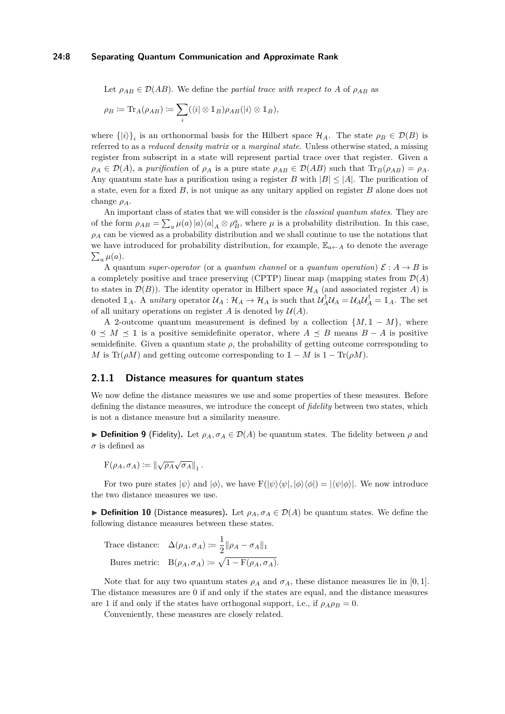#### **24:8 Separating Quantum Communication and Approximate Rank**

Let  $\rho_{AB} \in \mathcal{D}(AB)$ . We define the *partial trace with respect to* A of  $\rho_{AB}$  as

$$
\rho_B \coloneqq \text{Tr}_A(\rho_{AB}) \coloneqq \sum_i (\langle i | \otimes \mathbb{1}_B) \rho_{AB}(|i\rangle \otimes \mathbb{1}_B),
$$

where  $\{|i\rangle\}_i$  is an orthonormal basis for the Hilbert space  $\mathcal{H}_A$ . The state  $\rho_B \in \mathcal{D}(B)$  is referred to as a *reduced density matrix* or a *marginal state*. Unless otherwise stated, a missing register from subscript in a state will represent partial trace over that register. Given a  $\rho_A \in \mathcal{D}(A)$ , a *purification* of  $\rho_A$  is a pure state  $\rho_{AB} \in \mathcal{D}(AB)$  such that  $\text{Tr}_B(\rho_{AB}) = \rho_A$ . Any quantum state has a purification using a register *B* with  $|B| \leq |A|$ . The purification of a state, even for a fixed *B*, is not unique as any unitary applied on register *B* alone does not change *ρA*.

An important class of states that we will consider is the *classical quantum states*. They are of the form  $\rho_{AB} = \sum_a \mu(a) |a\rangle\langle a|_A \otimes \rho_B^a$ , where  $\mu$  is a probability distribution. In this case,  $\rho_A$  can be viewed as a probability distribution and we shall continue to use the notations that we have introduced for probability distribution, for example,  $\mathbb{E}_{a \leftarrow A}$  to denote the average  $\sum_a \mu(a)$ .

A quantum *super-operator* (or a *quantum channel* or a *quantum operation*)  $\mathcal{E}: A \rightarrow B$  is a completely positive and trace preserving (CPTP) linear map (mapping states from  $\mathcal{D}(A)$ to states in  $\mathcal{D}(B)$ ). The identity operator in Hilbert space  $\mathcal{H}_A$  (and associated register *A*) is denoted  $\mathbb{1}_A$ . A *unitary* operator  $\mathcal{U}_A : \mathcal{H}_A \to \mathcal{H}_A$  is such that  $\mathcal{U}_A^{\dagger} \mathcal{U}_A = \mathcal{U}_A \mathcal{U}_A^{\dagger} = \mathbb{1}_A$ . The set of all unitary operations on register  $A$  is denoted by  $\mathcal{U}(A)$ .

A 2-outcome quantum measurement is defined by a collection  $\{M, 1 - M\}$ , where  $0 \leq M \leq \mathbb{I}$  is a positive semidefinite operator, where  $A \leq B$  means  $B - A$  is positive semidefinite. Given a quantum state  $\rho$ , the probability of getting outcome corresponding to *M* is Tr( $\rho M$ ) and getting outcome corresponding to  $1 - M$  is  $1 - Tr(\rho M)$ .

### **2.1.1 Distance measures for quantum states**

We now define the distance measures we use and some properties of these measures. Before defining the distance measures, we introduce the concept of *fidelity* between two states, which is not a distance measure but a similarity measure.

**Definition 9** (Fidelity). Let  $\rho_A$ ,  $\sigma_A \in \mathcal{D}(A)$  be quantum states. The fidelity between  $\rho$  and  $\sigma$  is defined as

 $F(\rho_A, \sigma_A) \coloneqq \left\| \sqrt{\rho_A} \sqrt{\sigma_A} \right\|_1.$ 

For two pure states  $|\psi\rangle$  and  $|\phi\rangle$ , we have  $F(|\psi\rangle\langle\psi|, |\phi\rangle\langle\phi|) = |\langle\psi|\phi\rangle|$ . We now introduce the two distance measures we use.

**► Definition 10** (Distance measures). Let  $\rho_A$ ,  $\sigma_A \in \mathcal{D}(A)$  be quantum states. We define the following distance measures between these states.

Trace distance:  $\Delta(\rho_A, \sigma_A) \coloneqq \frac{1}{2}$  $\frac{1}{2} \|\rho_A - \sigma_A\|_1$ Bures metric:  $B(\rho_A, \sigma_A) \coloneqq \sqrt{1 - F(\rho_A, \sigma_A)}$ .

Note that for any two quantum states  $\rho_A$  and  $\sigma_A$ , these distance measures lie in [0, 1]. The distance measures are 0 if and only if the states are equal, and the distance measures are 1 if and only if the states have orthogonal support, i.e., if  $\rho_A \rho_B = 0$ .

Conveniently, these measures are closely related.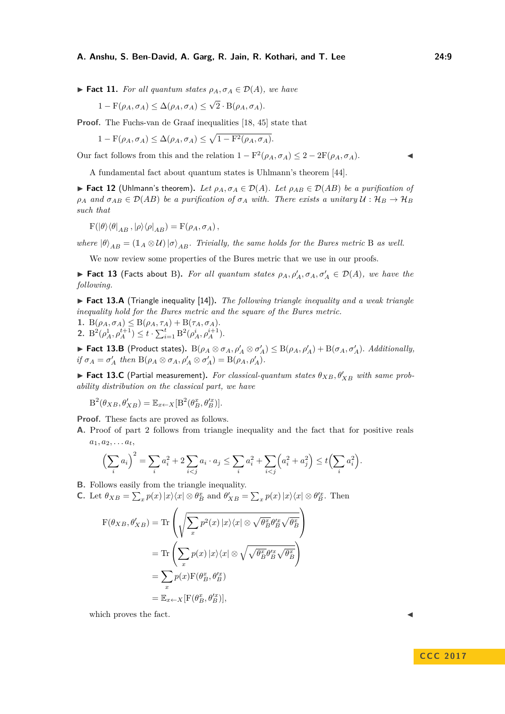<span id="page-8-4"></span> $\blacktriangleright$  **Fact 11.** For all quantum states  $\rho_A$ ,  $\sigma_A \in \mathcal{D}(A)$ , we have

$$
1 - F(\rho_A, \sigma_A) \leq \Delta(\rho_A, \sigma_A) \leq \sqrt{2} \cdot B(\rho_A, \sigma_A).
$$

**Proof.** The Fuchs-van de Graaf inequalities [\[18,](#page-31-12) [45\]](#page-32-13) state that

$$
1 - \mathcal{F}(\rho_A, \sigma_A) \leq \Delta(\rho_A, \sigma_A) \leq \sqrt{1 - \mathcal{F}^2(\rho_A, \sigma_A)}.
$$

Our fact follows from this and the relation  $1 - F^2(\rho_A, \sigma_A) \leq 2 - 2F(\rho_A, \sigma_A)$ .

A fundamental fact about quantum states is Uhlmann's theorem [\[44\]](#page-32-14).

<span id="page-8-2"></span> $▶$  **Fact 12** (Uhlmann's theorem). Let  $ρ_A, σ_A ∈ D(A)$ . Let  $ρ_{AB} ∈ D(AB)$  be a purification of  $\rho_A$  *and*  $\sigma_{AB} \in \mathcal{D}(AB)$  *be a purification of*  $\sigma_A$  *with. There exists a unitary*  $U : \mathcal{H}_B \to \mathcal{H}_B$ *such that*

$$
F(|\theta\rangle\langle\theta|_{AB},|\rho\rangle\langle\rho|_{AB})=F(\rho_A,\sigma_A),
$$

*where*  $|\theta\rangle_{AB} = (\mathbb{1}_A \otimes \mathcal{U}) |\sigma\rangle_{AB}$ *. Trivially, the same holds for the Bures metric* B *as well.* 

We now review some properties of the Bures metric that we use in our proofs.

**Fact 13** (Facts about B). For all quantum states  $\rho_A$ ,  $\rho'_A$ ,  $\sigma_A$ ,  $\sigma'_A \in \mathcal{D}(A)$ , we have the *following.*

<span id="page-8-3"></span>▶ Fact 13.A (Triangle inequality [\[14\]](#page-31-13)). *The following triangle inequality and a weak triangle inequality hold for the Bures metric and the square of the Bures metric.*

1. 
$$
B(\rho_A, \sigma_A) \leq B(\rho_A, \tau_A) + B(\tau_A, \sigma_A)
$$
.  
2.  $B^2(\rho_A^1, \rho_A^{t+1}) \leq t \cdot \sum_{i=1}^t B^2(\rho_A^i, \rho_A^{i+1})$ .

<span id="page-8-1"></span>► Fact 13.B (Product states).  $B(\rho_A \otimes \sigma_A, \rho'_A \otimes \sigma'_A) \leq B(\rho_A, \rho'_A) + B(\sigma_A, \sigma'_A)$ . Additionally,  $if \sigma_A = \sigma'_A$  *then*  $B(\rho_A \otimes \sigma_A, \rho'_A \otimes \sigma'_A) = B(\rho_A, \rho'_A)$ .

<span id="page-8-0"></span>**Fact 13.C** (Partial measurement). For classical-quantum states  $\theta_{XB}$ ,  $\theta'_{XB}$  with same prob*ability distribution on the classical part, we have*

$$
\mathcal{B}^{2}(\theta_{XB}, \theta'_{XB}) = \mathbb{E}_{x \leftarrow X}[\mathcal{B}^{2}(\theta_{B}^{x}, \theta'^{x}_{B})].
$$

**Proof.** These facts are proved as follows.

**A.** Proof of part 2 follows from triangle inequality and the fact that for positive reals  $a_1, a_2, \ldots a_t,$ 

$$
\left(\sum_{i} a_{i}\right)^{2} = \sum_{i} a_{i}^{2} + 2 \sum_{i < j} a_{i} \cdot a_{j} \le \sum_{i} a_{i}^{2} + \sum_{i < j} \left(a_{i}^{2} + a_{j}^{2}\right) \le t \left(\sum_{i} a_{i}^{2}\right).
$$

- **B.** Follows easily from the triangle inequality.
- **C.** Let  $\theta_{XB} = \sum_x p(x) |x\rangle\langle x| \otimes \theta_B^x$  and  $\theta'_{XB} = \sum_x p(x) |x\rangle\langle x| \otimes \theta_B^x$ . Then

$$
F(\theta_{XB}, \theta'_{XB}) = \text{Tr}\left(\sqrt{\sum_{x} p^{2}(x) |x\rangle\langle x| \otimes \sqrt{\theta_{B}^{x}} \theta_{B}^{\prime x} \sqrt{\theta_{B}^{x}}}\right)
$$
  

$$
= \text{Tr}\left(\sum_{x} p(x) |x\rangle\langle x| \otimes \sqrt{\sqrt{\theta_{B}^{x}} \theta_{B}^{\prime x} \sqrt{\theta_{B}^{x}}}\right)
$$
  

$$
= \sum_{x} p(x) F(\theta_{B}^{x}, \theta_{B}^{\prime x})
$$
  

$$
= \mathbb{E}_{x \leftarrow X} [F(\theta_{B}^{x}, \theta_{B}^{\prime x})],
$$

which proves the fact.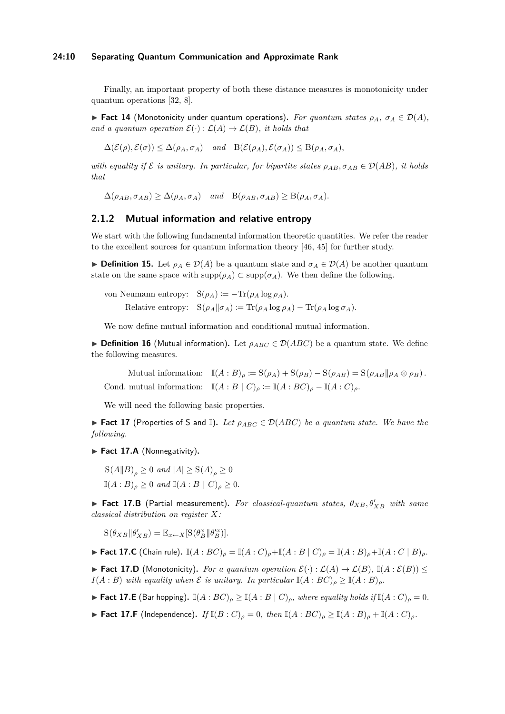#### **24:10 Separating Quantum Communication and Approximate Rank**

Finally, an important property of both these distance measures is monotonicity under quantum operations [\[32,](#page-32-15) [8\]](#page-30-8).

<span id="page-9-6"></span> $▶$  **Fact 14** (Monotonicity under quantum operations). For quantum states  $ρ_A$ ,  $σ_A ∈ D(A)$ , *and a quantum operation*  $\mathcal{E}(\cdot) : \mathcal{L}(A) \to \mathcal{L}(B)$ *, it holds that* 

 $\Delta(\mathcal{E}(\rho), \mathcal{E}(\sigma)) \leq \Delta(\rho_A, \sigma_A)$  *and*  $B(\mathcal{E}(\rho_A), \mathcal{E}(\sigma_A)) \leq B(\rho_A, \sigma_A)$ *,* 

*with equality if*  $\mathcal{E}$  *is unitary. In particular, for bipartite states*  $\rho_{AB}, \sigma_{AB} \in \mathcal{D}(AB)$ *, it holds that*

 $\Delta(\rho_{AB}, \sigma_{AB}) \geq \Delta(\rho_A, \sigma_A)$  *and*  $B(\rho_{AB}, \sigma_{AB}) \geq B(\rho_A, \sigma_A)$ .

# **2.1.2 Mutual information and relative entropy**

We start with the following fundamental information theoretic quantities. We refer the reader to the excellent sources for quantum information theory [\[46,](#page-32-16) [45\]](#page-32-13) for further study.

**Definition 15.** Let  $\rho_A \in \mathcal{D}(A)$  be a quantum state and  $\sigma_A \in \mathcal{D}(A)$  be another quantum state on the same space with  $\text{supp}(\rho_A) \subset \text{supp}(\sigma_A)$ . We then define the following.

von Neumann entropy:  $S(\rho_A) := -\text{Tr}(\rho_A \log \rho_A)$ . Relative entropy:  $S(\rho_A||\sigma_A) := Tr(\rho_A \log \rho_A) - Tr(\rho_A \log \sigma_A)$ .

We now define mutual information and conditional mutual information.

**Definition 16** (Mutual information). Let  $\rho_{ABC} \in \mathcal{D}(ABC)$  be a quantum state. We define the following measures.

Mutual information:  $\mathbb{I}(A:B)_{\rho} := S(\rho_A) + S(\rho_B) - S(\rho_{AB}) = S(\rho_{AB}||\rho_A \otimes \rho_B)$ . Cond. mutual information:  $\mathbb{I}(A : B \mid C)_{\rho} := \mathbb{I}(A : BC)_{\rho} - \mathbb{I}(A : C)_{\rho}$ .

We will need the following basic properties.

**► Fact 17** (Properties of S and  $\mathbb{I}$ ). Let  $\rho_{ABC} \in \mathcal{D}(ABC)$  be a quantum state. We have the *following.*

<span id="page-9-1"></span>▶ Fact 17.A (Nonnegativity).

 $S(A||B)_o \geq 0$  *and*  $|A| \geq S(A)_o \geq 0$  $\mathbb{I}(A:B)_{\rho} > 0$  *and*  $\mathbb{I}(A:B \mid C)_{\rho} > 0$ *.* 

<span id="page-9-3"></span>**Fact 17.B** (Partial measurement). For classical-quantum states,  $\theta_{XB}$ ,  $\theta'_{XB}$  with same *classical distribution on register X:*

 $S(\theta_{XB} || \theta'_{XB}) = \mathbb{E}_{x \leftarrow X} [S(\theta_B^x || \theta'^x_B)].$ 

<span id="page-9-0"></span>► Fact 17.C (Chain rule).  $\mathbb{I}(A:BC)_{\rho} = \mathbb{I}(A:C)_{\rho} + \mathbb{I}(A:B|C)_{\rho} = \mathbb{I}(A:B)_{\rho} + \mathbb{I}(A:C|B)_{\rho}$ .

<span id="page-9-2"></span>▶ **Fact 17.D** (Monotonicity). For a quantum operation  $\mathcal{E}(\cdot) : \mathcal{L}(A) \to \mathcal{L}(B)$ ,  $\mathbb{I}(A : \mathcal{E}(B))$  $I(A:B)$  *with equality when*  $\mathcal E$  *is unitary. In particular*  $\mathbb I(A:BC)_o \geq \mathbb I(A:B)_o$ .

<span id="page-9-5"></span>► **Fact 17.E** (Bar hopping).  $\mathbb{I}(A : BC)_{\rho} \geq \mathbb{I}(A : B | C)_{\rho}$ , where equality holds if  $\mathbb{I}(A : C)_{\rho} = 0$ .

<span id="page-9-4"></span>► **Fact 17.F** (Independence). *If*  $\mathbb{I}(B:C)_{\rho} = 0$ , *then*  $\mathbb{I}(A:BC)_{\rho} \geq \mathbb{I}(A:B)_{\rho} + \mathbb{I}(A:C)_{\rho}$ .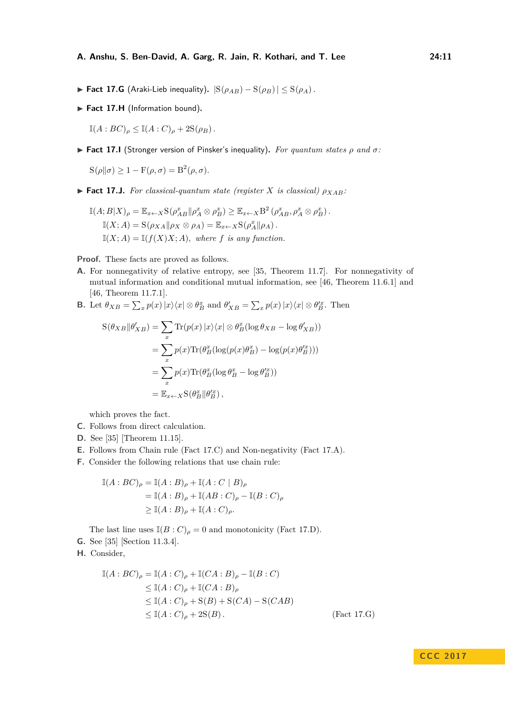- <span id="page-10-0"></span>**► Fact 17.G** (Araki-Lieb inequality).  $|S(\rho_{AB}) - S(\rho_B)| \leq S(\rho_A)$ .
- <span id="page-10-2"></span>▶ Fact 17.H (Information bound).

 $\mathbb{I}(A:BC)_{\rho} \leq \mathbb{I}(A:C)_{\rho} + 2\mathcal{S}(\rho_B).$ 

**Fact 17.I** (Stronger version of Pinsker's inequality). *For quantum states*  $\rho$  *and*  $\sigma$ :

 $S(\rho||\sigma) \geq 1 - F(\rho, \sigma) = B^2(\rho, \sigma).$ 

<span id="page-10-1"></span> $\triangleright$  **Fact 17.J.** *For classical-quantum state (register X is classical)*  $\rho_{XAB}$ *:* 

$$
\mathbb{I}(A;B|X)_{\rho} = \mathbb{E}_{x \leftarrow X} S(\rho_{AB}^x || \rho_A^x \otimes \rho_B^x) \geq \mathbb{E}_{x \leftarrow X} B^2(\rho_{AB}^x, \rho_A^x \otimes \rho_B^x).
$$
  

$$
\mathbb{I}(X;A) = S(\rho_{XA} || \rho_X \otimes \rho_A) = \mathbb{E}_{x \leftarrow X} S(\rho_A^x || \rho_A).
$$
  

$$
\mathbb{I}(X;A) = \mathbb{I}(f(X)X;A), \text{ where } f \text{ is any function.}
$$

**Proof.** These facts are proved as follows.

- **A.** For nonnegativity of relative entropy, see [\[35,](#page-32-12) Theorem 11.7]. For nonnegativity of mutual information and conditional mutual information, see [\[46,](#page-32-16) Theorem 11.6.1] and [\[46,](#page-32-16) Theorem 11.7.1].
- **B.** Let  $\theta_{XB} = \sum_x p(x) |x\rangle\langle x| \otimes \theta_B^x$  and  $\theta'_{XB} = \sum_x p(x) |x\rangle\langle x| \otimes \theta_B^x$ . Then

$$
S(\theta_{XB}||\theta'_{XB}) = \sum_{x} \text{Tr}(p(x) |x\rangle\langle x| \otimes \theta_{B}^{x}(\log \theta_{XB} - \log \theta'_{XB}))
$$
  

$$
= \sum_{x} p(x) \text{Tr}(\theta_{B}^{x}(\log (p(x)\theta_{B}^{x}) - \log (p(x)\theta'_{B}^{x})))
$$
  

$$
= \sum_{x} p(x) \text{Tr}(\theta_{B}^{x}(\log \theta_{B}^{x} - \log \theta'_{B}^{x}))
$$
  

$$
= \mathbb{E}_{x \leftarrow X} S(\theta_{B}^{x} || \theta'_{B}^{x}),
$$

which proves the fact.

- **C.** Follows from direct calculation.
- **D.** See [\[35\]](#page-32-12) [Theorem 11*.*15].
- **E.** Follows from Chain rule [\(Fact 17.C\)](#page-9-0) and Non-negativity [\(Fact 17.A\)](#page-9-1).
- **F.** Consider the following relations that use chain rule:

$$
\mathbb{I}(A:BC)_{\rho} = \mathbb{I}(A:B)_{\rho} + \mathbb{I}(A:C \mid B)_{\rho}
$$
  
=  $\mathbb{I}(A:B)_{\rho} + \mathbb{I}(AB:C)_{\rho} - \mathbb{I}(B:C)_{\rho}$   
 $\geq \mathbb{I}(A:B)_{\rho} + \mathbb{I}(A:C)_{\rho}.$ 

The last line uses  $\mathbb{I}(B:C)_{\rho}=0$  and monotonicity [\(Fact 17.D\)](#page-9-2).

**G.** See [\[35\]](#page-32-12) [Section 11*.*3*.*4].

**H.** Consider,

$$
\mathbb{I}(A:BC)_{\rho} = \mathbb{I}(A:C)_{\rho} + \mathbb{I}(CA:B)_{\rho} - \mathbb{I}(B:C)
$$
  
\n
$$
\leq \mathbb{I}(A:C)_{\rho} + \mathbb{I}(CA:B)_{\rho}
$$
  
\n
$$
\leq \mathbb{I}(A:C)_{\rho} + S(B) + S(CA) - S(CAB)
$$
  
\n
$$
\leq \mathbb{I}(A:C)_{\rho} + 2S(B). \qquad \text{(Fact 17.G)}
$$

**C C C 2 0 1 7**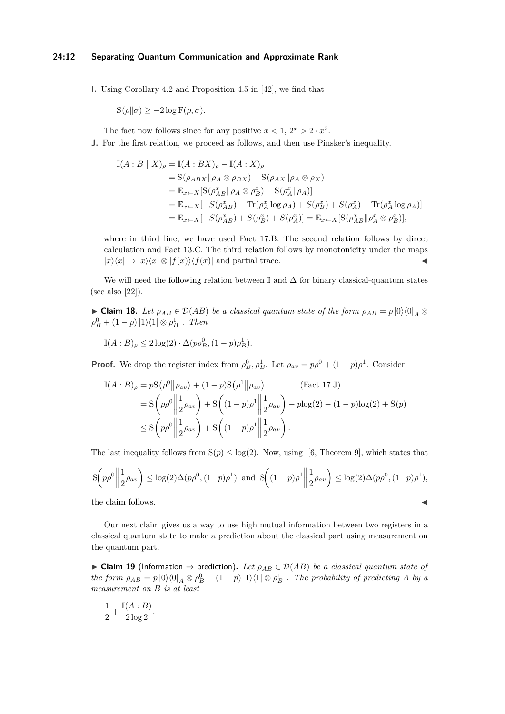**I.** Using Corollary 4*.*2 and Proposition 4*.*5 in [\[42\]](#page-32-17), we find that

 $S(\rho||\sigma) \geq -2\log F(\rho, \sigma)$ .

The fact now follows since for any positive  $x < 1$ ,  $2^x > 2 \cdot x^2$ .

**J.** For the first relation, we proceed as follows, and then use Pinsker's inequality.

$$
\begin{split} \mathbb{I}(A:B \mid X)_{\rho} &= \mathbb{I}(A:BX)_{\rho} - \mathbb{I}(A:X)_{\rho} \\ &= \mathcal{S}(\rho_{ABX} \|\rho_A \otimes \rho_{BX}) - \mathcal{S}(\rho_{AX} \|\rho_A \otimes \rho_X) \\ &= \mathbb{E}_{x \leftarrow X} [\mathcal{S}(\rho_{AB}^x \|\rho_A \otimes \rho_B^x) - \mathcal{S}(\rho_A^x \|\rho_A)] \\ &= \mathbb{E}_{x \leftarrow X} [-S(\rho_{AB}^x) - \text{Tr}(\rho_A^x \log \rho_A) + S(\rho_B^x) + S(\rho_A^x) + \text{Tr}(\rho_A^x \log \rho_A)] \\ &= \mathbb{E}_{x \leftarrow X} [-S(\rho_{AB}^x) + S(\rho_B^x) + S(\rho_A^x)] = \mathbb{E}_{x \leftarrow X} [\mathcal{S}(\rho_{AB}^x \|\rho_A^x \otimes \rho_B^x)], \end{split}
$$

where in third line, we have used Fact [17.B.](#page-9-3) The second relation follows by direct calculation and Fact [13.C.](#page-8-0) The third relation follows by monotonicity under the maps  $|x\rangle\langle x| \rightarrow |x\rangle\langle x| \otimes |f(x)\rangle\langle f(x)|$  and partial trace.

We will need the following relation between  $\mathbb{I}$  and  $\Delta$  for binary classical-quantum states (see also [\[22\]](#page-31-14)).

<span id="page-11-0"></span>► Claim 18. Let  $\rho_{AB} \in \mathcal{D}(AB)$  be a classical quantum state of the form  $\rho_{AB} = p \, |0\rangle\langle0|_A \otimes$  $\rho_B^0 + (1-p) |1\rangle\langle 1| \otimes \rho_B^1$ . Then

 $\mathbb{I}(A:B)_{\rho} \leq 2\log(2) \cdot \Delta(p\rho_B^0, (1-p)\rho_B^1).$ 

**Proof.** We drop the register index from  $\rho_B^0$ ,  $\rho_B^1$ . Let  $\rho_{av} = p\rho^0 + (1 - p)\rho^1$ . Consider

$$
\mathbb{I}(A:B)_{\rho} = p\mathcal{S}(\rho^{0}||\rho_{av}) + (1-p)\mathcal{S}(\rho^{1}||\rho_{av}) \qquad \text{(Fact 17. J)}
$$
\n
$$
= \mathcal{S}\left(p\rho^{0}||\frac{1}{2}\rho_{av}\right) + \mathcal{S}\left((1-p)\rho^{1}||\frac{1}{2}\rho_{av}\right) - p\log(2) - (1-p)\log(2) + \mathcal{S}(p)
$$
\n
$$
\leq \mathcal{S}\left(p\rho^{0}||\frac{1}{2}\rho_{av}\right) + \mathcal{S}\left((1-p)\rho^{1}||\frac{1}{2}\rho_{av}\right).
$$

The last inequality follows from  $S(p) \leq log(2)$ . Now, using [\[6,](#page-30-9) Theorem 9], which states that

$$
S\left(p\rho^0 \middle\| \frac{1}{2}\rho_{av}\right) \le \log(2)\Delta(p\rho^0, (1-p)\rho^1) \text{ and } S\left((1-p)\rho^1 \middle\| \frac{1}{2}\rho_{av}\right) \le \log(2)\Delta(p\rho^0, (1-p)\rho^1),
$$
  
the claim follows.

Our next claim gives us a way to use high mutual information between two registers in a classical quantum state to make a prediction about the classical part using measurement on the quantum part.

<span id="page-11-1"></span>► Claim 19 (Information  $\Rightarrow$  prediction). Let  $\rho_{AB} \in \mathcal{D}(AB)$  be a classical quantum state of *the form*  $\rho_{AB} = p |0\rangle\langle0|_A \otimes \rho_B^0 + (1-p)|1\rangle\langle1| \otimes \rho_B^1$ . The probability of predicting A by a *measurement on B is at least*

$$
\frac{1}{2} + \frac{\mathbb{I}(A:B)}{2\log 2}.
$$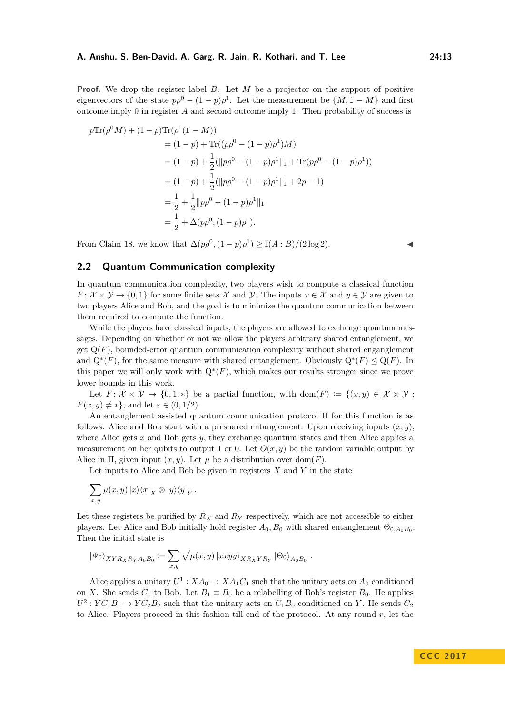**Proof.** We drop the register label *B*. Let *M* be a projector on the support of positive eigenvectors of the state  $p\rho^0 - (1 - p)\rho^1$ . Let the measurement be  $\{M, \mathbb{1} - M\}$  and first outcome imply 0 in register *A* and second outcome imply 1. Then probability of success is

$$
p \text{Tr}(\rho^0 M) + (1 - p) \text{Tr}(\rho^1 (1 - M))
$$
  
= (1 - p) + \text{Tr}((p\rho^0 - (1 - p)\rho^1)M)  
= (1 - p) + \frac{1}{2} (||p\rho^0 - (1 - p)\rho^1||\_1 + \text{Tr}(p\rho^0 - (1 - p)\rho^1))  
= (1 - p) + \frac{1}{2} (||p\rho^0 - (1 - p)\rho^1||\_1 + 2p - 1)  
= \frac{1}{2} + \frac{1}{2} ||p\rho^0 - (1 - p)\rho^1||\_1  
= \frac{1}{2} + \Delta(p\rho^0, (1 - p)\rho^1).

From [Claim 18,](#page-11-0) we know that  $\Delta(p\rho^0, (1 - p)\rho^1) \geq \mathbb{I}(A : B)/(2 \log 2)$ . **◆** 

# <span id="page-12-0"></span>**2.2 Quantum Communication complexity**

In quantum communication complexity, two players wish to compute a classical function *F* :  $\mathcal{X} \times \mathcal{Y} \rightarrow \{0,1\}$  for some finite sets X and  $\mathcal{Y}$ . The inputs  $x \in \mathcal{X}$  and  $y \in \mathcal{Y}$  are given to two players Alice and Bob, and the goal is to minimize the quantum communication between them required to compute the function.

While the players have classical inputs, the players are allowed to exchange quantum messages. Depending on whether or not we allow the players arbitrary shared entanglement, we get  $Q(F)$ , bounded-error quantum communication complexity without shared enganglement and  $Q^*(F)$ , for the same measure with shared entanglement. Obviously  $Q^*(F) \leq Q(F)$ . In this paper we will only work with  $Q^*(F)$ , which makes our results stronger since we prove lower bounds in this work.

Let  $F: \mathcal{X} \times \mathcal{Y} \to \{0,1,*\}$  be a partial function, with dom $(F) := \{(x,y) \in \mathcal{X} \times \mathcal{Y} :$  $F(x, y) \neq *$ , and let  $\varepsilon \in (0, 1/2)$ .

An entanglement assisted quantum communication protocol Π for this function is as follows. Alice and Bob start with a preshared entanglement. Upon receiving inputs  $(x, y)$ , where Alice gets *x* and Bob gets *y*, they exchange quantum states and then Alice applies a measurement on her qubits to output 1 or 0. Let  $O(x, y)$  be the random variable output by Alice in  $\Pi$ , given input  $(x, y)$ . Let  $\mu$  be a distribution over dom(*F*).

Let inputs to Alice and Bob be given in registers *X* and *Y* in the state

$$
\sum_{x,y}\mu(x,y)\,|x\rangle\langle x|_X\otimes|y\rangle\langle y|_Y\,.
$$

Let these registers be purified by *R<sup>X</sup>* and *R<sup>Y</sup>* respectively, which are not accessible to either players. Let Alice and Bob initially hold register  $A_0$ ,  $B_0$  with shared entanglement  $\Theta_{0,A_0B_0}$ . Then the initial state is

$$
\left|\Psi_0\right\rangle_{XYR_XR_YA_0B_0} := \sum_{x,y} \sqrt{\mu(x,y)} \left| xxyy \right\rangle_{XR_XYR_Y} \left|\Theta_0\right\rangle_{A_0B_0}.
$$

Alice applies a unitary  $U^1$ :  $XA_0 \rightarrow XA_1C_1$  such that the unitary acts on  $A_0$  conditioned on *X*. She sends  $C_1$  to Bob. Let  $B_1 \equiv B_0$  be a relabelling of Bob's register  $B_0$ . He applies  $U^2$ :  $YC_1B_1 \rightarrow YC_2B_2$  such that the unitary acts on  $C_1B_0$  conditioned on *Y*. He sends  $C_2$ to Alice. Players proceed in this fashion till end of the protocol. At any round *r*, let the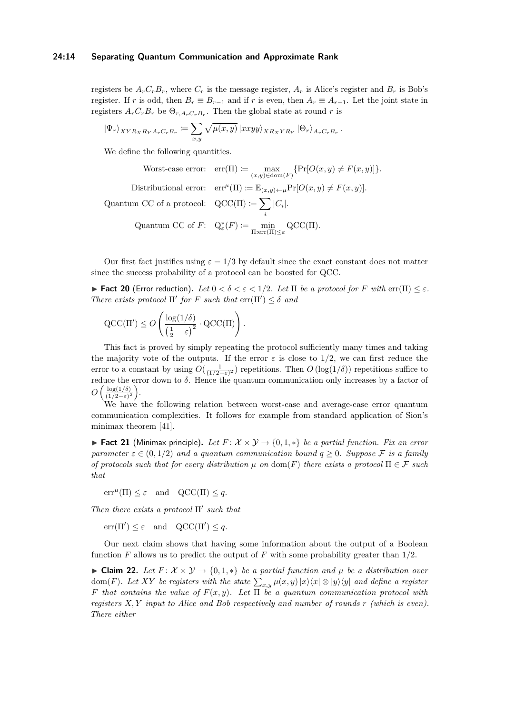#### **24:14 Separating Quantum Communication and Approximate Rank**

registers be  $A_r C_r B_r$ , where  $C_r$  is the message register,  $A_r$  is Alice's register and  $B_r$  is Bob's register. If *r* is odd, then  $B_r \equiv B_{r-1}$  and if *r* is even, then  $A_r \equiv A_{r-1}$ . Let the joint state in registers  $A_r C_r B_r$  be  $\Theta_{r, A_r C_r B_r}$ . Then the global state at round *r* is

$$
\left|\Psi_r\right\rangle_{XYR_XR_YA_rC_rB_r} := \sum_{x,y} \sqrt{\mu(x,y)} \left| xxyy \right\rangle_{XR_XYR_Y} \left|\Theta_r\right\rangle_{A_rC_rB_r}.
$$

We define the following quantities.

$$
\text{Worst-case error:} \quad \text{err}(\Pi) := \max_{(x,y) \in \text{dom}(F)} \{ \Pr[O(x,y) \neq F(x,y)] \}.
$$

 $|C_i|$ .

Distributional error:  $\operatorname{err}^{\mu}(\Pi) \coloneqq \mathbb{E}_{(x,y)\leftarrow \mu} \Pr[O(x,y) \neq F(x,y)].$ 

Quantum CC of a protocol:  $QCC(\Pi) \coloneqq \sum$ 

Quantum CC of 
$$
F
$$
:  $Q_{\varepsilon}^*(F) := \min_{\Pi: \text{err}(\Pi) \leq \varepsilon} \text{QCC}(\Pi)$ .

Our first fact justifies using  $\varepsilon = 1/3$  by default since the exact constant does not matter since the success probability of a protocol can be boosted for QCC.

<span id="page-13-2"></span>**Fact 20** (Error reduction). Let  $0 < \delta < \varepsilon < 1/2$ . Let  $\Pi$  be a protocol for F with  $\text{err}(\Pi) < \varepsilon$ . *There exists protocol*  $\Pi'$  *for F such that*  $\text{err}(\Pi') \leq \delta$  *and* 

$$
\mathrm{QCC}(\Pi') \leq O\left(\frac{\log(1/\delta)}{\left(\frac{1}{2} - \varepsilon\right)^2} \cdot \mathrm{QCC}(\Pi)\right).
$$

This fact is proved by simply repeating the protocol sufficiently many times and taking the majority vote of the outputs. If the error  $\varepsilon$  is close to 1/2, we can first reduce the error to a constant by using  $O(\frac{1}{(1/2-\varepsilon)^2})$  repetitions. Then  $O(\log(1/\delta))$  repetitions suffice to reduce the error down to *δ*. Hence the quantum communication only increases by a factor of  $O\left(\frac{\log(1/\delta)}{(1/2-\epsilon)^2}\right)$  $\frac{\log(1/\delta)}{(1/2-\varepsilon)^2}$ .

We have the following relation between worst-case and average-case error quantum communication complexities. It follows for example from standard application of Sion's minimax theorem [\[41\]](#page-32-18).

<span id="page-13-0"></span>**► Fact 21** (Minimax principle). Let  $F: \mathcal{X} \times \mathcal{Y} \rightarrow \{0, 1, *\}$  be a partial function. Fix an error *parameter*  $\varepsilon \in (0, 1/2)$  *and a quantum communication bound*  $q > 0$ *. Suppose* F *is a family of protocols such that for every distribution*  $\mu$  *on* dom(*F*) *there exists a protocol*  $\Pi \in \mathcal{F}$  *such that*

 $err^{\mu}(\Pi) \leq \varepsilon$  and  $QCC(\Pi) \leq q$ .

*Then there exists a protocol* Π' such that

 $err(\Pi') \leq \varepsilon$  and  $QCC(\Pi') \leq q$ .

Our next claim shows that having some information about the output of a Boolean function *F* allows us to predict the output of *F* with some probability greater than 1*/*2.

<span id="page-13-1"></span>► Claim 22. Let  $F: \mathcal{X} \times \mathcal{Y} \rightarrow \{0, 1, *\}$  be a partial function and  $\mu$  be a distribution over  $\text{dom}(F)$ *. Let*  $XY$  *be registers with the state*  $\sum_{x,y} \mu(x,y) \ket{x}\!\bra{x} \otimes \ket{y}\!\bra{y}$  and define a register *F that contains the value of F*(*x, y*)*. Let* Π *be a quantum communication protocol with registers X, Y input to Alice and Bob respectively and number of rounds r (which is even). There either*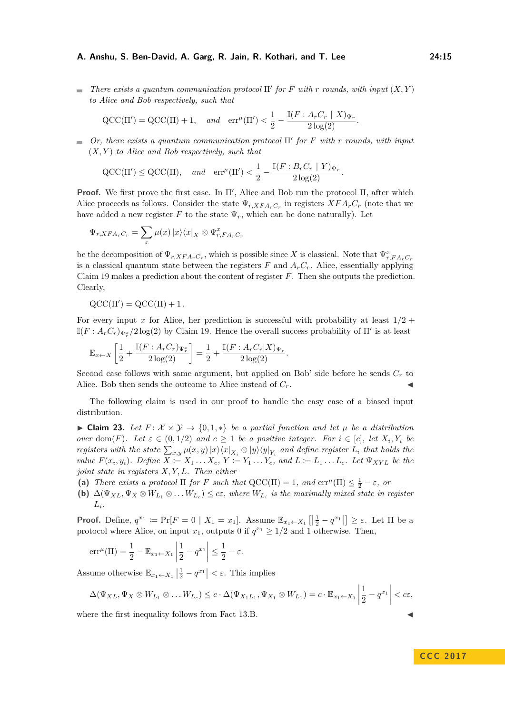*There exists a quantum communication protocol*  $\Pi'$  *for F* with *r rounds, with input*  $(X, Y)$ *to Alice and Bob respectively, such that*

$$
\mathrm{QCC}(\Pi') = \mathrm{QCC}(\Pi) + 1, \quad and \quad \mathrm{err}^{\mu}(\Pi') < \frac{1}{2} - \frac{\mathbb{I}(F : A_r C_r \mid X)_{\Psi_r}}{2 \log(2)}.
$$

*Or, there exists a quantum communication protocol*  $\Pi'$  *for F with r rounds, with input* (*X, Y* ) *to Alice and Bob respectively, such that*

$$
\text{QCC}(\Pi') \leq \text{QCC}(\Pi), \quad \text{and} \quad \text{err}^{\mu}(\Pi') < \frac{1}{2} - \frac{\mathbb{I}(F : B_r C_r \mid Y)_{\Psi_r}}{2 \log(2)}.
$$

**Proof.** We first prove the first case. In  $\Pi'$ , Alice and Bob run the protocol  $\Pi$ , after which Alice proceeds as follows. Consider the state  $\Psi_{r, XFA_rC_r}$  in registers  $XFA_rC_r$  (note that we have added a new register  $F$  to the state  $\Psi_r$ , which can be done naturally). Let

$$
\Psi_{r,XFA_rC_r} = \sum_x \mu(x) \left| x \right\rangle \left\langle x \right|_X \otimes \Psi_{r,FA_rC_r}^x
$$

be the decomposition of  $\Psi_{r, XFA_rC_r}$ , which is possible since *X* is classical. Note that  $\Psi_{r,FA_rC_r}^x$ is a classical quantum state between the registers  $F$  and  $A<sub>r</sub>C<sub>r</sub>$ . Alice, essentially applying [Claim 19](#page-11-1) makes a prediction about the content of register *F*. Then she outputs the prediction. Clearly,

 $\mathrm{QCC}(\Pi') = \mathrm{QCC}(\Pi) + 1$ .

For every input *x* for Alice, her prediction is successful with probability at least  $1/2$  +  $\mathbb{I}(F: A_r C_r)_{\Psi_r^x}/2 \log(2)$  by [Claim 19.](#page-11-1) Hence the overall success probability of  $\Pi'$  is at least

$$
\mathbb{E}_{x \leftarrow X} \left[ \frac{1}{2} + \frac{\mathbb{I}(F : A_r C_r) \Psi_r^x}{2 \log(2)} \right] = \frac{1}{2} + \frac{\mathbb{I}(F : A_r C_r | X) \Psi_r}{2 \log(2)}.
$$

Second case follows with same argument, but applied on Bob' side before he sends  $C_r$  to Alice. Bob then sends the outcome to Alice instead of  $C_r$ .

The following claim is used in our proof to handle the easy case of a biased input distribution.

<span id="page-14-0"></span> $\blacktriangleright$  **Claim 23.** *Let F* :  $\mathcal{X} \times \mathcal{Y} \rightarrow \{0, 1, *\}$  *be a partial function and let μ be a distribution over* dom(*F*). Let  $\varepsilon \in (0,1/2)$  and  $c \geq 1$  be a positive integer. For  $i \in [c]$ , let  $X_i, Y_i$  be *registers with the state*  $\sum_{x,y} \mu(x,y) |x\rangle\langle x|_{X_i} \otimes |y\rangle\langle y|_{Y_i}$  and define register  $L_i$  that holds the value  $F(x_i, y_i)$ . Define  $X := X_1 \dots X_c$ ,  $Y := Y_1 \dots Y_c$ , and  $L := L_1 \dots L_c$ . Let  $\Psi_{XYL}$  be the *joint state in registers X, Y, L. Then either*

- (a) *There exists a protocol*  $\Pi$  *for F such that*  $QCC(\Pi) = 1$ *, and*  $err^{\mu}(\Pi) \leq \frac{1}{2} \varepsilon$ *, or*
- **(b)**  $\Delta(\Psi_{XL}, \Psi_X \otimes W_{L_1} \otimes \ldots W_{L_c}) \leq c\varepsilon$ , where  $W_{L_i}$  is the maximally mixed state in register  $L_i$ *.*

**Proof.** Define,  $q^{x_1} := \Pr[F = 0 \mid X_1 = x_1]$ . Assume  $\mathbb{E}_{x_1 \leftarrow X_1} [|\frac{1}{2} - q^{x_1}|] \geq \varepsilon$ . Let  $\Pi$  be a protocol where Alice, on input  $x_1$ , outputs 0 if  $q^{x_1} \geq 1/2$  and 1 otherwise. Then,

$$
\mathrm{err}^{\mu}(\Pi) = \frac{1}{2} - \mathbb{E}_{x_1 \leftarrow X_1} \left| \frac{1}{2} - q^{x_1} \right| \le \frac{1}{2} - \varepsilon.
$$

Assume otherwise  $\mathbb{E}_{x_1 \leftarrow X_1} \left| \frac{1}{2} - q^{x_1} \right| < \varepsilon$ . This implies

$$
\Delta(\Psi_{XL}, \Psi_X \otimes W_{L_1} \otimes \ldots W_{L_c}) \leq c \cdot \Delta(\Psi_{X_1L_1}, \Psi_{X_1} \otimes W_{L_1}) = c \cdot \mathbb{E}_{x_1 \leftarrow X_1} \left| \frac{1}{2} - q^{x_1} \right| < c\varepsilon,
$$

where the first inequality follows from [Fact 13.B.](#page-8-1)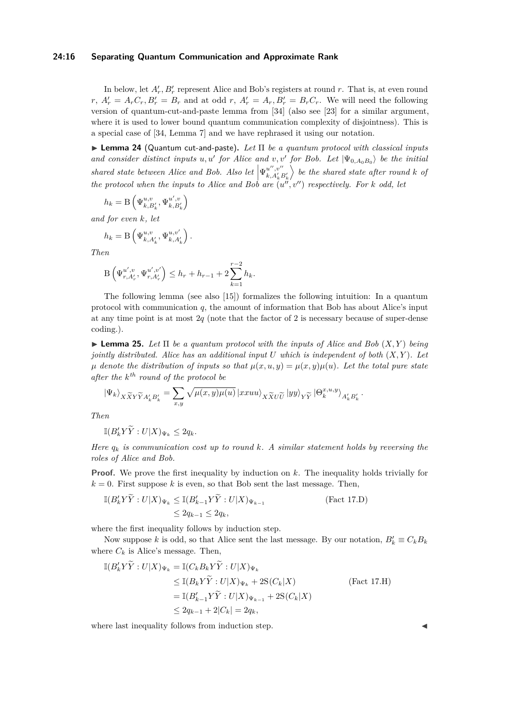#### **24:16 Separating Quantum Communication and Approximate Rank**

In below, let  $A'_r$ ,  $B'_r$  represent Alice and Bob's registers at round r. That is, at even round  $r, A'_{r} = A_{r}C_{r}, B'_{r} = B_{r}$  and at odd  $r, A'_{r} = A_{r}, B'_{r} = B_{r}C_{r}$ . We will need the following version of quantum-cut-and-paste lemma from [\[34\]](#page-32-19) (also see [\[23\]](#page-31-8) for a similar argument, where it is used to lower bound quantum communication complexity of disjointness). This is a special case of [\[34,](#page-32-19) Lemma 7] and we have rephrased it using our notation.

<span id="page-15-1"></span>I **Lemma 24** (Quantum cut-and-paste)**.** *Let* Π *be a quantum protocol with classical inputs and consider distinct inputs u, u'* for Alice and *v, v'* for Bob. Let  $|\Psi_{0,A_0B_0}\rangle$  be the initial *shared state between Alice and Bob. Also let*  $\left|\Psi_{k,A'_k}^{u'',v''}\right|$  $k, A'_{k}B'_{k}$  $\left\{ \right\}$  be the shared state after round  $k$  of *the protocol when the inputs to Alice and Bob are*  $(u''', v'')$  *respectively. For k odd, let* 

$$
h_k = \mathcal{B}\left(\Psi_{k,B'_k}^{u,v}, \Psi_{k,B'_k}^{u',v}\right)
$$

*and for even k, let*

$$
h_k = B\left(\Psi_{k,A'_k}^{u,v}, \Psi_{k,A'_k}^{u,v'}\right).
$$

*Then*

$$
B\left(\Psi_{r,A'_r}^{u',v}, \Psi_{r,A'_r}^{u',v'}\right) \leq h_r + h_{r-1} + 2\sum_{k=1}^{r-2} h_k.
$$

The following lemma (see also [\[15\]](#page-31-15)) formalizes the following intuition: In a quantum protocol with communication *q*, the amount of information that Bob has about Alice's input at any time point is at most 2*q* (note that the factor of 2 is necessary because of super-dense coding.).

<span id="page-15-0"></span> $\blacktriangleright$  **Lemma 25.** Let  $\Pi$  be a quantum protocol with the inputs of Alice and Bob  $(X, Y)$  being *jointly distributed. Alice has an additional input U which is independent of both* (*X, Y* )*. Let*  $\mu$  *denote the distribution of inputs so that*  $\mu(x, u, y) = \mu(x, y)\mu(u)$ *. Let the total pure state after the k th round of the protocol be*

$$
\left|\Psi_{k}\right\rangle_{X\widetilde{X}Y\widetilde{Y}A'_{k}B'_{k}}=\sum_{x,y}\sqrt{\mu(x,y)\mu(u)}\left|xxuu\right\rangle_{X\widetilde{X}U\widetilde{U}}\left|yy\right\rangle_{Y\widetilde{Y}}\left|\Theta_{k}^{x,u,y}\right\rangle_{A'_{k}B'_{k}}.
$$

*Then*

$$
\mathbb{I}(B'_k Y \widetilde{Y} : U|X)_{\Psi_k} \le 2q_k.
$$

*Here*  $q_k$  *is communication cost up to round k. A similar statement holds by reversing the roles of Alice and Bob.*

**Proof.** We prove the first inequality by induction on k. The inequality holds trivially for  $k = 0$ . First suppose k is even, so that Bob sent the last message. Then,

$$
\mathbb{I}(B'_k Y \tilde{Y} : U|X)\Psi_k \leq \mathbb{I}(B'_{k-1} Y \tilde{Y} : U|X)\Psi_{k-1}
$$
\n
$$
\leq 2q_{k-1} \leq 2q_k,
$$
\n(Fact 17.D)

where the first inequality follows by induction step.

Now suppose *k* is odd, so that Alice sent the last message. By our notation,  $B'_k \equiv C_k B_k$ where  $C_k$  is Alice's message. Then,

$$
\begin{aligned} \mathbb{I}(B'_{k}Y\widetilde{Y}:U|X)\Psi_{k} &= \mathbb{I}(C_{k}B_{k}Y\widetilde{Y}:U|X)\Psi_{k} \\ &\leq \mathbb{I}(B_{k}Y\widetilde{Y}:U|X)\Psi_{k} + 2\mathcal{S}(C_{k}|X) \\ &= \mathbb{I}(B'_{k-1}Y\widetilde{Y}:U|X)\Psi_{k-1} + 2\mathcal{S}(C_{k}|X) \\ &\leq 2q_{k-1} + 2|C_{k}| = 2q_{k}, \end{aligned} \tag{Fact 17. H}
$$

where last inequality follows from induction step.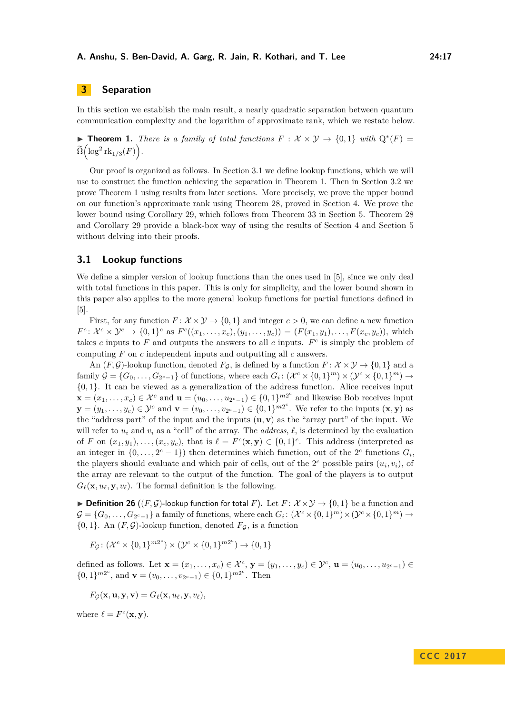# <span id="page-16-1"></span>**3 Separation**

In this section we establish the main result, a nearly quadratic separation between quantum communication complexity and the logarithm of approximate rank, which we restate below.

**► Theorem 1.** *There is a family of total functions*  $F: \mathcal{X} \times \mathcal{Y} \rightarrow \{0,1\}$  *with*  $Q^*(F) =$  $\widetilde{\Omega}\Bigl(\log^2{\mathrm{rk}}_{1/3}(F)\Bigr).$ 

Our proof is organized as follows. In [Section 3.1](#page-16-0) we define lookup functions, which we will use to construct the function achieving the separation in [Theorem 1.](#page-1-1) Then in [Section 3.2](#page-17-0) we prove [Theorem 1](#page-1-1) using results from later sections. More precisely, we prove the upper bound on our function's approximate rank using [Theorem 28,](#page-18-1) proved in [Section 4.](#page-18-2) We prove the lower bound using [Corollary 29,](#page-18-0) which follows from [Theorem 33](#page-20-0) in [Section 5.](#page-20-1) [Theorem 28](#page-18-1) and [Corollary 29](#page-18-0) provide a black-box way of using the results of [Section 4](#page-18-2) and [Section 5](#page-20-1) without delving into their proofs.

#### <span id="page-16-0"></span>**3.1 Lookup functions**

We define a simpler version of lookup functions than the ones used in [\[5\]](#page-30-1), since we only deal with total functions in this paper. This is only for simplicity, and the lower bound shown in this paper also applies to the more general lookup functions for partial functions defined in [\[5\]](#page-30-1).

First, for any function  $F: \mathcal{X} \times \mathcal{Y} \rightarrow \{0, 1\}$  and integer  $c > 0$ , we can define a new function  $F^c: \mathcal{X}^c \times \mathcal{Y}^c \to \{0,1\}^c$  as  $F^c((x_1,\ldots,x_c),(y_1,\ldots,y_c)) = (F(x_1,y_1),\ldots,F(x_c,y_c)),$  which takes *c* inputs to  $F$  and outputs the answers to all  $c$  inputs.  $F^c$  is simply the problem of computing *F* on *c* independent inputs and outputting all *c* answers.

An  $(F, \mathcal{G})$ -lookup function, denoted  $F_{\mathcal{G}}$ , is defined by a function  $F: \mathcal{X} \times \mathcal{Y} \to \{0, 1\}$  and a family  $\mathcal{G} = \{G_0, \ldots, G_{2^c-1}\}\$  of functions, where each  $G_i: (\mathcal{X}^c \times \{0,1\}^m) \times (\mathcal{Y}^c \times \{0,1\}^m) \to$ {0*,* 1}. It can be viewed as a generalization of the address function. Alice receives input **x** =  $(x_1, \ldots, x_c)$  ∈  $\mathcal{X}^c$  and **u** =  $(u_0, \ldots, u_{2^c-1})$  ∈  $\{0, 1\}^{m2^c}$  and likewise Bob receives input **y** =  $(y_1, \ldots, y_c)$  ∈  $\mathcal{Y}^c$  and  $\mathbf{v} = (v_0, \ldots, v_{2^c-1}) \in \{0, 1\}^{m2^c}$ . We refer to the inputs  $(\mathbf{x}, \mathbf{y})$  as the "address part" of the input and the inputs  $(\mathbf{u}, \mathbf{v})$  as the "array part" of the input. We will refer to  $u_i$  and  $v_i$  as a "cell" of the array. The *address*,  $\ell$ , is determined by the evaluation of *F* on  $(x_1, y_1), \ldots, (x_c, y_c)$ , that is  $\ell = F^c(\mathbf{x}, \mathbf{y}) \in \{0, 1\}^c$ . This address (interpreted as an integer in  $\{0, \ldots, 2^c - 1\}$  then determines which function, out of the  $2^c$  functions  $G_i$ , the players should evaluate and which pair of cells, out of the  $2<sup>c</sup>$  possible pairs  $(u_i, v_i)$ , of the array are relevant to the output of the function. The goal of the players is to output  $G_{\ell}(\mathbf{x}, u_{\ell}, \mathbf{y}, v_{\ell})$ . The formal definition is the following.

**Definition 26** ( $(F, \mathcal{G})$ -lookup function for total *F*). Let  $F: \mathcal{X} \times \mathcal{Y} \rightarrow \{0, 1\}$  be a function and  $\mathcal{G} = \{G_0, \ldots, G_{2^c-1}\}\$ a family of functions, where each  $G_i: (\mathcal{X}^c \times \{0,1\}^m) \times (\mathcal{Y}^c \times \{0,1\}^m) \to$  $\{0, 1\}$ . An  $(F, \mathcal{G})$ -lookup function, denoted  $F_{\mathcal{G}}$ , is a function

 $F_{\mathcal{G}}: (\mathcal{X}^c \times \{0,1\}^{m2^c}) \times (\mathcal{Y}^c \times \{0,1\}^{m2^c}) \rightarrow \{0,1\}$ 

defined as follows. Let  $\mathbf{x} = (x_1, \ldots, x_c) \in \mathcal{X}^c$ ,  $\mathbf{y} = (y_1, \ldots, y_c) \in \mathcal{Y}^c$ ,  $\mathbf{u} = (u_0, \ldots, u_{2^c-1}) \in$  $\{0,1\}^{m2^c}$ , and  $\mathbf{v} = (v_0, \ldots, v_{2^c-1}) \in \{0,1\}^{m2^c}$ . Then

$$
F_{\mathcal{G}}(\mathbf{x}, \mathbf{u}, \mathbf{y}, \mathbf{v}) = G_{\ell}(\mathbf{x}, u_{\ell}, \mathbf{y}, v_{\ell}),
$$

where  $\ell = F^c(\mathbf{x}, \mathbf{y})$ .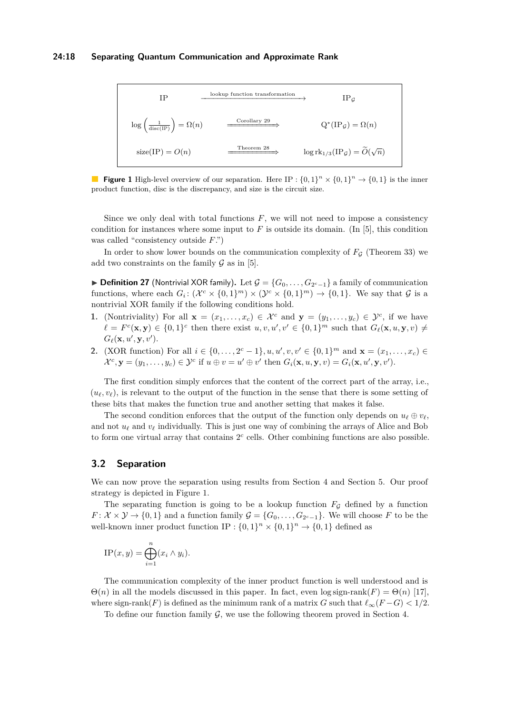#### **24:18 Separating Quantum Communication and Approximate Rank**

<span id="page-17-1"></span>

**Figure 1** High-level overview of our separation. Here IP :  $\{0,1\}^n \times \{0,1\}^n \to \{0,1\}$  is the inner product function, disc is the discrepancy, and size is the circuit size.

Since we only deal with total functions *F*, we will not need to impose a consistency condition for instances where some input to  $F$  is outside its domain. (In [\[5\]](#page-30-1), this condition was called "consistency outside *F*.")

In order to show lower bounds on the communication complexity of  $F<sub>G</sub>$  [\(Theorem 33\)](#page-20-0) we add two constraints on the family  $\mathcal G$  as in [\[5\]](#page-30-1).

<span id="page-17-2"></span>▶ **Definition 27** (Nontrivial XOR family). Let  $G = \{G_0, \ldots, G_{2^c-1}\}\$ a family of communication functions, where each  $G_i: (\mathcal{X}^c \times \{0,1\}^m) \times (\mathcal{Y}^c \times \{0,1\}^m) \to \{0,1\}$ . We say that  $\mathcal G$  is a nontrivial XOR family if the following conditions hold.

- **1.** (Nontriviality) For all  $\mathbf{x} = (x_1, \ldots, x_c) \in \mathcal{X}^c$  and  $\mathbf{y} = (y_1, \ldots, y_c) \in \mathcal{Y}^c$ , if we have  $\ell = F^c(\mathbf{x}, \mathbf{y}) \in \{0, 1\}^c$  then there exist  $u, v, u', v' \in \{0, 1\}^m$  such that  $G_{\ell}(\mathbf{x}, u, \mathbf{y}, v) \neq$  $G_{\ell}(\mathbf{x}, u', \mathbf{y}, v').$
- **2.** (XOR function) For all  $i \in \{0, ..., 2^c 1\}$ ,  $u, u', v, v' \in \{0, 1\}^m$  and  $\mathbf{x} = (x_1, ..., x_c) \in$  $\mathcal{X}^{c}$ ,  $\mathbf{y} = (y_1, \ldots, y_c) \in \mathcal{Y}^{c}$  if  $u \oplus v = u' \oplus v'$  then  $G_i(\mathbf{x}, u, \mathbf{y}, v) = G_i(\mathbf{x}, u', \mathbf{y}, v').$

The first condition simply enforces that the content of the correct part of the array, i.e.,  $(u_{\ell}, v_{\ell})$ , is relevant to the output of the function in the sense that there is some setting of these bits that makes the function true and another setting that makes it false.

The second condition enforces that the output of the function only depends on  $u_\ell \oplus v_\ell$ , and not  $u_\ell$  and  $v_\ell$  individually. This is just one way of combining the arrays of Alice and Bob to form one virtual array that contains  $2<sup>c</sup>$  cells. Other combining functions are also possible.

#### <span id="page-17-0"></span>**3.2 Separation**

We can now prove the separation using results from [Section 4](#page-18-2) and [Section 5.](#page-20-1) Our proof strategy is depicted in [Figure 1.](#page-17-1)

The separating function is going to be a lookup function  $F<sub>G</sub>$  defined by a function  $F: \mathcal{X} \times \mathcal{Y} \to \{0,1\}$  and a function family  $\mathcal{G} = \{G_0, \ldots, G_{2^c-1}\}.$  We will choose  $F$  to be the well-known inner product function  $IP: \{0,1\}^n \times \{0,1\}^n \to \{0,1\}$  defined as

$$
\mathrm{IP}(x,y) = \bigoplus_{i=1}^{n} (x_i \wedge y_i).
$$

The communication complexity of the inner product function is well understood and is  $\Theta(n)$  in all the models discussed in this paper. In fact, even log sign-rank $(F) = \Theta(n)$  [\[17\]](#page-31-16), where sign-rank(*F*) is defined as the minimum rank of a matrix *G* such that  $\ell_{\infty}(F - G) < 1/2$ .

To define our function family  $\mathcal{G}$ , we use the following theorem proved in [Section 4.](#page-18-2)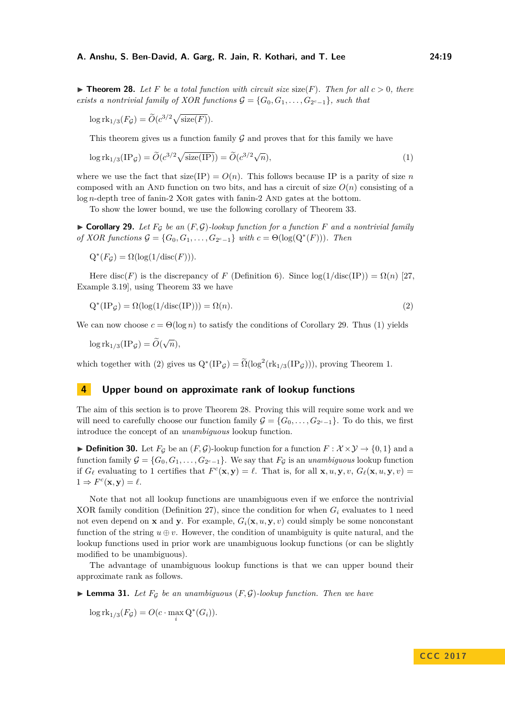<span id="page-18-1"></span> $\triangleright$  **Theorem 28.** Let F be a total function with circuit size size(F). Then for all  $c > 0$ , there *exists a nontrivial family of XOR functions*  $G = \{G_0, G_1, \ldots, G_{2^c-1}\}$ *, such that* 

<span id="page-18-3"></span>
$$
\log \mathrm{rk}_{1/3}(F_{\mathcal{G}}) = \widetilde{O}(c^{3/2}\sqrt{\mathrm{size}(F)}).
$$

This theorem gives us a function family  $G$  and proves that for this family we have

$$
\log \mathrm{rk}_{1/3}(\mathrm{IP}_{\mathcal{G}}) = \widetilde{O}(c^{3/2}\sqrt{\mathrm{size}(\mathrm{IP})}) = \widetilde{O}(c^{3/2}\sqrt{n}),\tag{1}
$$

where we use the fact that  $size(IP) = O(n)$ . This follows because IP is a parity of size *n* composed with an AND function on two bits, and has a circuit of size  $O(n)$  consisting of a  $log n$ -depth tree of fanin-2 XOR gates with fanin-2 AND gates at the bottom.

To show the lower bound, we use the following corollary of [Theorem 33.](#page-20-0)

<span id="page-18-0"></span> $\triangleright$  **Corollary 29.** Let  $F_{\mathcal{G}}$  be an  $(F, \mathcal{G})$ -lookup function for a function F and a nontrivial family *of XOR functions*  $\mathcal{G} = \{G_0, G_1, \ldots, G_{2^c-1}\}\$  *with*  $c = \Theta(\log(Q^*(F)))$ *. Then* 

 $Q^*(F_{\mathcal{G}}) = \Omega(\log(1/\text{disc}(F))).$ 

Here disc(*F*) is the discrepancy of *F* [\(Definition 6\)](#page-5-0). Since  $log(1/disc(IP)) = \Omega(n)$  [\[27,](#page-31-11) Example 3.19], using [Theorem 33](#page-20-0) we have

<span id="page-18-4"></span>
$$
Q^*(IP_{\mathcal{G}}) = \Omega(\log(1/\text{disc}(IP))) = \Omega(n). \tag{2}
$$

We can now choose  $c = \Theta(\log n)$  to satisfy the conditions of [Corollary 29.](#page-18-0) Thus [\(1\)](#page-18-3) yields

 $\log \mathrm{rk}_{1/3}(\mathrm{IP}_{\mathcal{G}}) = \widetilde{O}(\sqrt{n}),$ 

which together with [\(2\)](#page-18-4) gives us  $Q^*(IP_\mathcal{G}) = \tilde{\Omega}(\log^2(rk_{1/3}(IP_\mathcal{G})))$ , proving [Theorem 1.](#page-1-1)

# <span id="page-18-2"></span>**4 Upper bound on approximate rank of lookup functions**

The aim of this section is to prove [Theorem 28.](#page-18-1) Proving this will require some work and we will need to carefully choose our function family  $\mathcal{G} = \{G_0, \ldots, G_{2^c-1}\}.$  To do this, we first introduce the concept of an *unambiguous* lookup function.

<span id="page-18-5"></span>▶ **Definition 30.** Let  $F<sub>G</sub>$  be an  $(F, G)$ -lookup function for a function  $F: \mathcal{X} \times \mathcal{Y} \rightarrow \{0, 1\}$  and a function family  $G = \{G_0, G_1, \ldots, G_{2^c-1}\}$ . We say that  $F_{\mathcal{G}}$  is an *unambiguous* lookup function if  $G_{\ell}$  evaluating to 1 certifies that  $F^{c}(\mathbf{x}, \mathbf{y}) = \ell$ . That is, for all  $\mathbf{x}, u, \mathbf{y}, v, G_{\ell}(\mathbf{x}, u, \mathbf{y}, v) =$  $1 \Rightarrow F^c(\mathbf{x}, \mathbf{y}) = \ell.$ 

Note that not all lookup functions are unambiguous even if we enforce the nontrivial XOR family condition [\(Definition 27\)](#page-17-2), since the condition for when  $G_i$  evaluates to 1 need not even depend on **x** and **y**. For example,  $G_i(\mathbf{x}, u, \mathbf{y}, v)$  could simply be some nonconstant function of the string  $u \oplus v$ . However, the condition of unambiguity is quite natural, and the lookup functions used in prior work are unambiguous lookup functions (or can be slightly modified to be unambiguous).

The advantage of unambiguous lookup functions is that we can upper bound their approximate rank as follows.

<span id="page-18-6"></span> $\blacktriangleright$  **Lemma 31.** Let  $F_{\mathcal{G}}$  be an unambiguous  $(F, \mathcal{G})$ -lookup function. Then we have

 $\log \mathrm{rk}_{1/3}(F_{\mathcal{G}}) = O(c \cdot \max_{i} Q^{*}(G_{i})).$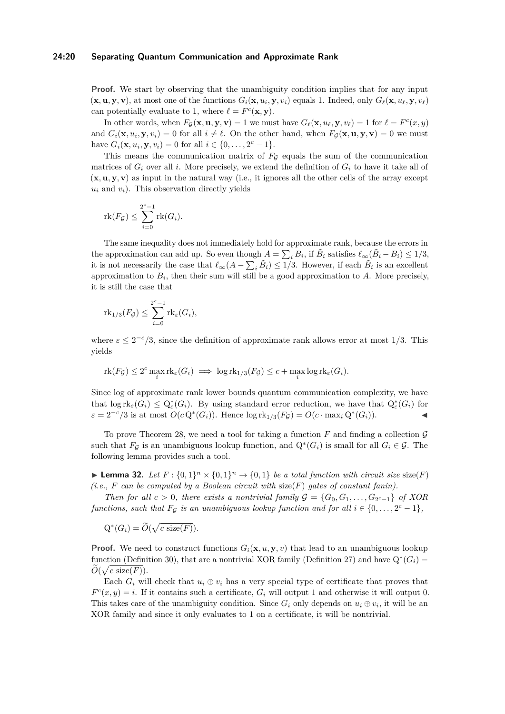#### **24:20 Separating Quantum Communication and Approximate Rank**

**Proof.** We start by observing that the unambiguity condition implies that for any input  $(\mathbf{x}, \mathbf{u}, \mathbf{y}, \mathbf{v})$ , at most one of the functions  $G_i(\mathbf{x}, u_i, \mathbf{y}, v_i)$  equals 1. Indeed, only  $G_\ell(\mathbf{x}, u_\ell, \mathbf{y}, v_\ell)$ can potentially evaluate to 1, where  $\ell = F^c(\mathbf{x}, \mathbf{y})$ .

In other words, when  $F_{\mathcal{G}}(\mathbf{x}, \mathbf{u}, \mathbf{y}, \mathbf{v}) = 1$  we must have  $G_{\ell}(\mathbf{x}, u_{\ell}, \mathbf{y}, v_{\ell}) = 1$  for  $\ell = F^c(x, y)$ and  $G_i(\mathbf{x}, u_i, \mathbf{y}, v_i) = 0$  for all  $i \neq \ell$ . On the other hand, when  $F_{\mathcal{G}}(\mathbf{x}, \mathbf{u}, \mathbf{y}, \mathbf{v}) = 0$  we must have  $G_i(\mathbf{x}, u_i, \mathbf{y}, v_i) = 0$  for all  $i \in \{0, ..., 2^c - 1\}.$ 

This means the communication matrix of  $F_G$  equals the sum of the communication matrices of  $G_i$  over all *i*. More precisely, we extend the definition of  $G_i$  to have it take all of  $(x, u, y, v)$  as input in the natural way (i.e., it ignores all the other cells of the array except  $u_i$  and  $v_i$ ). This observation directly yields

$$
\mathrm{rk}(F_{\mathcal{G}}) \le \sum_{i=0}^{2^c-1} \mathrm{rk}(G_i).
$$

The same inequality does not immediately hold for approximate rank, because the errors in the approximation can add up. So even though  $A = \sum_i B_i$ , if  $\tilde{B}_i$  satisfies  $\ell_{\infty}(\tilde{B}_i - B_i) \leq 1/3$ , it is not necessarily the case that  $\ell_{\infty}(A - \sum_i \tilde{B}_i) \leq 1/3$ . However, if each  $\tilde{B}_i$  is an excellent approximation to *B<sup>i</sup>* , then their sum will still be a good approximation to *A*. More precisely, it is still the case that

$$
\mathrm{rk}_{1/3}(F_{\mathcal{G}}) \le \sum_{i=0}^{2^c-1} \mathrm{rk}_{\varepsilon}(G_i),
$$

where  $\varepsilon \leq 2^{-c}/3$ , since the definition of approximate rank allows error at most 1/3. This yields

$$
\mathrm{rk}(F_{\mathcal{G}}) \leq 2^c \max_i \mathrm{rk}_{\varepsilon}(G_i) \implies \log \mathrm{rk}_{1/3}(F_{\mathcal{G}}) \leq c + \max_i \log \mathrm{rk}_{\varepsilon}(G_i).
$$

Since log of approximate rank lower bounds quantum communication complexity, we have that  $\log \mathrm{rk}_{\varepsilon}(G_i) \leq Q_{\varepsilon}^*(G_i)$ . By using standard error reduction, we have that  $Q_{\varepsilon}^*(G_i)$  for  $\varepsilon = 2^{-c}/3$  is at most  $O(cQ^*(G_i))$ . Hence  $\log \text{rk}_{1/3}(F_{\mathcal{G}}) = O(c \cdot \max_i Q^*(G_i))$ .

To prove [Theorem 28,](#page-18-1) we need a tool for taking a function  $F$  and finding a collection  $\mathcal G$ such that  $F_{\mathcal{G}}$  is an unambiguous lookup function, and  $Q^*(G_i)$  is small for all  $G_i \in \mathcal{G}$ . The following lemma provides such a tool.

<span id="page-19-0"></span>**Lemma 32.** *Let*  $F : \{0,1\}^n \times \{0,1\}^n \rightarrow \{0,1\}$  *be a total function with circuit size* size(*F*) *(i.e., F can be computed by a Boolean circuit with* size(*F*) *gates of constant fanin).*

*Then for all*  $c > 0$ *, there exists a nontrivial family*  $\mathcal{G} = \{G_0, G_1, \ldots, G_{2^c-1}\}$  *of XOR functions, such that*  $F_g$  *is an unambiguous lookup function and for all*  $i \in \{0, \ldots, 2^c - 1\}$ *,* 

 $Q^*(G_i) = \widetilde{O}(\sqrt{c \text{ size}(F)}).$ 

**Proof.** We need to construct functions  $G_i(\mathbf{x}, u, \mathbf{y}, v)$  that lead to an unambiguous lookup function [\(Definition 30\)](#page-18-5), that are a nontrivial XOR family [\(Definition 27\)](#page-17-2) and have  $Q^*(G_i)$  $\widetilde{O}(\sqrt{c \text{ size}(F)}).$ 

Each  $G_i$  will check that  $u_i \oplus v_i$  has a very special type of certificate that proves that  $F^c(x, y) = i$ . If it contains such a certificate,  $G_i$  will output 1 and otherwise it will output 0. This takes care of the unambiguity condition. Since  $G_i$  only depends on  $u_i \oplus v_i$ , it will be an XOR family and since it only evaluates to 1 on a certificate, it will be nontrivial.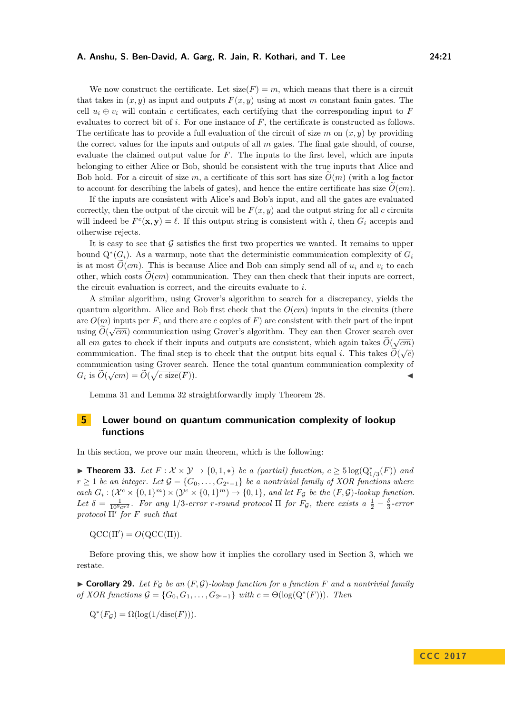We now construct the certificate. Let  $size(F) = m$ , which means that there is a circuit that takes in  $(x, y)$  as input and outputs  $F(x, y)$  using at most *m* constant fanin gates. The cell  $u_i \oplus v_i$  will contain *c* certificates, each certifying that the corresponding input to *F* evaluates to correct bit of *i*. For one instance of *F*, the certificate is constructed as follows. The certificate has to provide a full evaluation of the circuit of size  $m$  on  $(x, y)$  by providing the correct values for the inputs and outputs of all *m* gates. The final gate should, of course, evaluate the claimed output value for *F*. The inputs to the first level, which are inputs belonging to either Alice or Bob, should be consistent with the true inputs that Alice and Bob hold. For a circuit of size  $m$ , a certificate of this sort has size  $O(m)$  (with a log factor to account for describing the labels of gates), and hence the entire certificate has size  $O(cm)$ .

If the inputs are consistent with Alice's and Bob's input, and all the gates are evaluated correctly, then the output of the circuit will be  $F(x, y)$  and the output string for all *c* circuits will indeed be  $F^c(\mathbf{x}, \mathbf{y}) = \ell$ . If this output string is consistent with *i*, then  $G_i$  accepts and otherwise rejects.

It is easy to see that  $\mathcal G$  satisfies the first two properties we wanted. It remains to upper bound  $Q^*(G_i)$ . As a warmup, note that the deterministic communication complexity of  $G_i$ is at most  $O(cm)$ . This is because Alice and Bob can simply send all of  $u_i$  and  $v_i$  to each other, which costs  $\widetilde{O}(cm)$  communication. They can then check that their inputs are correct, the circuit evaluation is correct, and the circuits evaluate to *i*.

A similar algorithm, using Grover's algorithm to search for a discrepancy, yields the quantum algorithm. Alice and Bob first check that the  $O(cm)$  inputs in the circuits (there are  $O(m)$  inputs per F, and there are c copies of F) are consistent with their part of the input using  $\widetilde{O}(\sqrt{cm})$  communication using Grover's algorithm. They can then Grover search over<br>with  $\widetilde{O}(\sqrt{cm})$  communication using Grover's algorithm. They can then Grover search over all *cm* gates to check if their inputs and outputs are consistent, which again takes  $O(\sqrt{cm})$ communication. The final step is to check that the output bits equal *i*. This takes  $\widetilde{O}(\sqrt{c})$ communication using Grover search. Hence the total quantum communication complexity of  $G_i$  is  $\widetilde{O}(\sqrt{cm}) = \widetilde{O}(\sqrt{c \text{ size}(F)})$ .

[Lemma 31](#page-18-6) and [Lemma 32](#page-19-0) straightforwardly imply [Theorem 28.](#page-18-1)

# <span id="page-20-1"></span>**5 Lower bound on quantum communication complexity of lookup functions**

In this section, we prove our main theorem, which is the following:

<span id="page-20-0"></span>▶ **Theorem 33.** *Let*  $F: \mathcal{X} \times \mathcal{Y} \rightarrow \{0, 1, *\}$  *be a (partial) function,*  $c \geq 5 \log(Q_{1/3}^*(F))$  *and*  $r \geq 1$  *be an integer. Let*  $\mathcal{G} = \{G_0, \ldots, G_{2^c-1}\}$  *be a nontrivial family of XOR functions where*  $\chi$  *each*  $G_i : (\mathcal{X}^c \times \{0,1\}^m) \times (\mathcal{Y}^c \times \{0,1\}^m) \rightarrow \{0,1\}$ , and let  $F_g$  be the  $(F, \mathcal{G})$ *-lookup function.* Let  $\delta = \frac{1}{10^9 c r^2}$ . For any 1/3-error *r*-round protocol  $\Pi$  for  $F_g$ , there exists a  $\frac{1}{2} - \frac{\delta}{3}$ -error *protocol* Π' *for F such that* 

 $QCC(\Pi') = O(QCC(\Pi)).$ 

Before proving this, we show how it implies the corollary used in [Section 3,](#page-16-1) which we restate.

 $\triangleright$  **Corollary 29.** Let  $F_G$  be an  $(F, \mathcal{G})$ -lookup function for a function F and a nontrivial family *of XOR functions*  $\mathcal{G} = \{G_0, G_1, \ldots, G_{2^c-1}\}\$  *with*  $c = \Theta(\log(Q^*(F)))$ *. Then* 

$$
Q^*(F_{\mathcal{G}}) = \Omega(\log(1/\mathrm{disc}(F))).
$$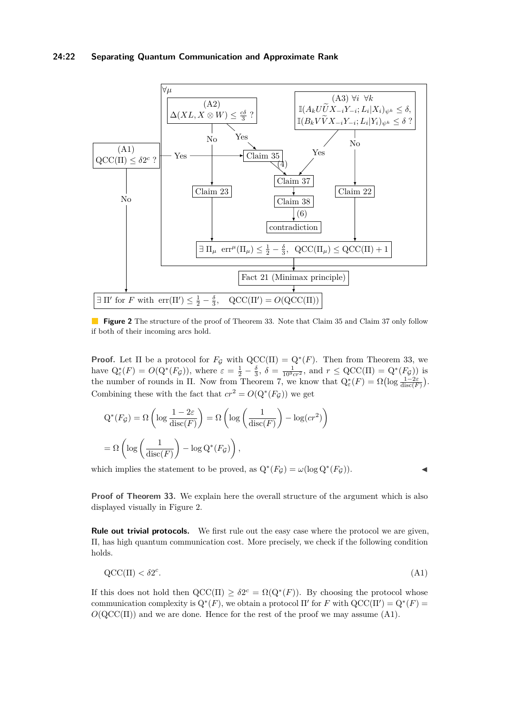### **24:22 Separating Quantum Communication and Approximate Rank**

<span id="page-21-1"></span>

**Figure 2** The structure of the proof of [Theorem 33.](#page-20-0) Note that [Claim 35](#page-24-0) and [Claim 37](#page-27-0) only follow if both of their incoming arcs hold.

**Proof.** Let  $\Pi$  be a protocol for  $F_{\mathcal{G}}$  with  $QCC(\Pi) = Q^*(F)$ . Then from [Theorem 33,](#page-20-0) we have  $Q_{\varepsilon}^*(F) = O(Q^*(F_{\mathcal{G}}))$ , where  $\varepsilon = \frac{1}{2} - \frac{\delta}{3}$ ,  $\delta = \frac{1}{10^9 c r^2}$ , and  $r \le QCC(\Pi) = Q^*(F_{\mathcal{G}})$  is the number of rounds in  $\Pi$ . Now from [Theorem 7,](#page-6-1) we know that  $Q_{\varepsilon}^*(F) = \Omega\left(\log \frac{1-2\varepsilon}{\text{disc}(F)}\right)$ . Combining these with the fact that  $cr^2 = O(Q^*(F_g))$  we get

$$
Q^*(F_{\mathcal{G}}) = \Omega\left(\log\frac{1-2\varepsilon}{\operatorname{disc}(F)}\right) = \Omega\left(\log\left(\frac{1}{\operatorname{disc}(F)}\right) - \log(c r^2)\right)
$$

$$
= \Omega\left(\log\left(\frac{1}{\operatorname{disc}(F)}\right) - \log Q^*(F_{\mathcal{G}})\right),
$$

which implies the statement to be proved, as  $Q^*(F_g) = \omega(\log Q^*(F_g))$ .

<span id="page-21-0"></span>

**Proof of [Theorem 33.](#page-20-0)** We explain here the overall structure of the argument which is also displayed visually in [Figure 2.](#page-21-1)

**Rule out trivial protocols.** We first rule out the easy case where the protocol we are given, Π, has high quantum communication cost. More precisely, we check if the following condition holds.

$$
\mathrm{QCC}(\Pi) < \delta 2^c. \tag{A1}
$$

If this does not hold then  $\mathrm{QCC}(\Pi) \geq \delta 2^c = \Omega(\mathrm{Q}^*(F))$ . By choosing the protocol whose communication complexity is  $Q^*(F)$ , we obtain a protocol  $\Pi'$  for *F* with  $QCC(\Pi') = Q^*(F)$  $O(QCC(\Pi))$  and we are done. Hence for the rest of the proof we may assume [\(A1\).](#page-21-0)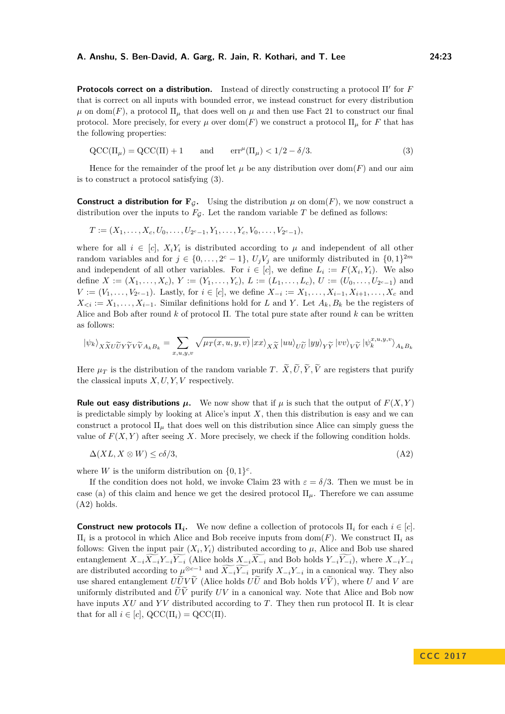**Protocols correct on a distribution.** Instead of directly constructing a protocol Π' for *F* that is correct on all inputs with bounded error, we instead construct for every distribution  $\mu$  on dom(*F*), a protocol  $\Pi_{\mu}$  that does well on  $\mu$  and then use [Fact 21](#page-13-0) to construct our final protocol. More precisely, for every  $\mu$  over dom(*F*) we construct a protocol  $\Pi_{\mu}$  for *F* that has the following properties:

<span id="page-22-1"></span>
$$
\mathrm{QCC}(\Pi_{\mu}) = \mathrm{QCC}(\Pi) + 1 \qquad \text{and} \qquad \mathrm{err}^{\mu}(\Pi_{\mu}) < 1/2 - \delta/3. \tag{3}
$$

Hence for the remainder of the proof let  $\mu$  be any distribution over dom(*F*) and our aim is to construct a protocol satisfying [\(3\).](#page-22-1)

**Construct a distribution for**  $\mathbf{F}_G$ **.** Using the distribution  $\mu$  on dom(*F*), we now construct a distribution over the inputs to  $F_{\mathcal{G}}$ . Let the random variable  $T$  be defined as follows:

$$
T:=(X_1,\ldots,X_c,U_0,\ldots,U_{2^c-1},Y_1,\ldots,Y_c,V_0,\ldots,V_{2^c-1}),
$$

where for all  $i \in [c]$ ,  $X_i Y_i$  is distributed according to  $\mu$  and independent of all other random variables and for  $j \in \{0, \ldots, 2^c - 1\}$ ,  $U_j V_j$  are uniformly distributed in  $\{0, 1\}^{2m}$ and independent of all other variables. For  $i \in [c]$ , we define  $L_i := F(X_i, Y_i)$ . We also define  $X := (X_1, \ldots, X_c), Y := (Y_1, \ldots, Y_c), L := (L_1, \ldots, L_c), U := (U_0, \ldots, U_{2^c-1})$  and *V* :=  $(V_1, \ldots, V_{2^c-1})$ . Lastly, for *i* ∈ [*c*], we define  $X_{-i}$  :=  $X_1, \ldots, X_{i-1}, X_{i+1}, \ldots, X_c$  and  $X_{\leq i} := X_1, \ldots, X_{i-1}$ . Similar definitions hold for *L* and *Y*. Let  $A_k, B_k$  be the registers of Alice and Bob after round *k* of protocol Π. The total pure state after round *k* can be written as follows:

$$
\left| \psi_k \right\rangle_X \widetilde{x}_U \widetilde{v}_Y \widetilde{v}_{A_k B_k} = \sum_{x,u,y,v} \sqrt{\mu_T(x,u,y,v)} \left| x x \right\rangle_X \widetilde{x} \left| u u \right\rangle_U \widetilde{v} \left| y y \right\rangle_Y \widetilde{v} \left| v v \right\rangle_V \widetilde{v} \left| \psi_k^{x,u,y,v} \right\rangle_{A_k B_k}
$$

Here  $\mu_T$  is the distribution of the random variable *T*.  $\widetilde{X}, \widetilde{U}, \widetilde{Y}, \widetilde{V}$  are registers that purify the classical inputs *X, U, Y, V* respectively.

**Rule out easy distributions**  $\mu$ **.** We now show that if  $\mu$  is such that the output of  $F(X, Y)$ is predictable simply by looking at Alice's input  $X$ , then this distribution is easy and we can construct a protocol  $\Pi_{\mu}$  that does well on this distribution since Alice can simply guess the value of  $F(X, Y)$  after seeing X. More precisely, we check if the following condition holds.

<span id="page-22-0"></span>
$$
\Delta(XL, X \otimes W) \le c\delta/3,\tag{A2}
$$

where *W* is the uniform distribution on  $\{0,1\}^c$ .

If the condition does not hold, we invoke [Claim 23](#page-14-0) with  $\varepsilon = \delta/3$ . Then we must be in case (a) of this claim and hence we get the desired protocol  $\Pi_{\mu}$ . Therefore we can assume [\(A2\)](#page-22-0) holds.

**Construct new protocols**  $\Pi_i$ **.** We now define a collection of protocols  $\Pi_i$  for each  $i \in [c]$ . Π*i* is a protocol in which Alice and Bob receive inputs from dom(*F*). We construct Π*<sup>i</sup>* as follows: Given the input pair  $(X_i, Y_i)$  distributed according to  $\mu$ , Alice and Bob use shared entanglement  $X_{-i}\overline{X_{-i}}\overline{Y_{-i}}\overline{Y_{-i}}$  (Alice holds  $X_{-i}\overline{X_{-i}}$  and Bob holds  $Y_{-i}\overline{Y_{-i}}$ ), where  $X_{-i}Y_{-i}$ are distributed according to  $\mu^{\otimes c-1}$  and  $\widetilde{X_{-i}}\widetilde{Y_{-i}}$  purify  $X_{-i}Y_{-i}$  in a canonical way. They also use shared entanglement  $U\tilde{U}V\tilde{V}$  (Alice holds  $U\tilde{U}$  and Bob holds  $V\tilde{V}$ ), where *U* and *V* are uniformly distributed and  $\widetilde{U}\widetilde{V}$  purify  $UV$  in a canonical way. Note that Alice and Bob now have inputs *XU* and *Y V* distributed according to *T*. They then run protocol Π. It is clear that for all  $i \in [c]$ ,  $QCC(\Pi_i) = QCC(\Pi)$ .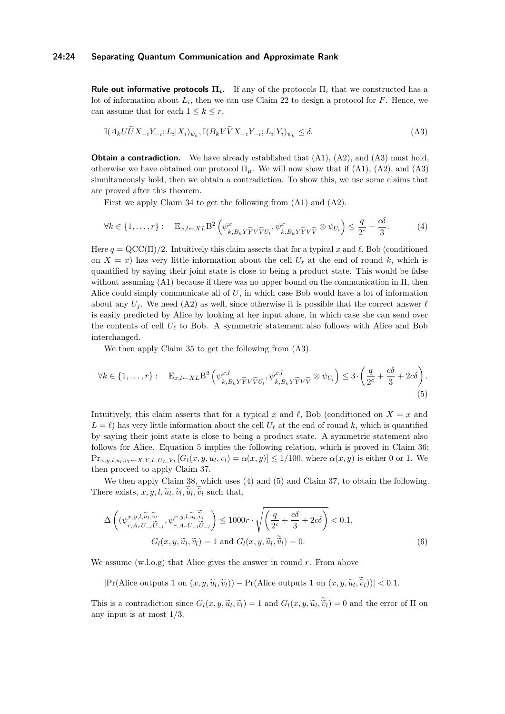#### **24:24 Separating Quantum Communication and Approximate Rank**

**Rule out informative protocols**  $\Pi_i$ **.** If any of the protocols  $\Pi_i$  that we constructed has a lot of information about  $L_i$ , then we can use [Claim 22](#page-13-1) to design a protocol for  $F$ . Hence, we can assume that for each  $1 \leq k \leq r$ ,

<span id="page-23-0"></span>
$$
\mathbb{I}(A_k U \widetilde{U} X_{-i} Y_{-i}; L_i | X_i)_{\psi_k}, \mathbb{I}(B_k V \widetilde{V} X_{-i} Y_{-i}; L_i | Y_i)_{\psi_k} \le \delta.
$$
\n(A3)

**Obtain a contradiction.** We have already established that  $(A1)$ ,  $(A2)$ , and  $(A3)$  must hold, otherwise we have obtained our protocol  $\Pi_{\mu}$ . We will now show that if [\(A1\),](#page-21-0) [\(A2\),](#page-22-0) and [\(A3\)](#page-23-0) simultaneously hold, then we obtain a contradiction. To show this, we use some claims that are proved after this theorem.

<span id="page-23-1"></span>First we apply [Claim 34](#page-24-1) to get the following from [\(A1\)](#page-21-0) and [\(A2\).](#page-22-0)

$$
\forall k \in \{1, \ldots, r\}: \quad \mathbb{E}_{x, l \leftarrow XL} \mathcal{B}^2 \left( \psi_{k, B_k Y \widetilde{Y} V \widetilde{V} U_l}^x, \psi_{k, B_k Y \widetilde{Y} V \widetilde{V}}^x \otimes \psi_{U_l} \right) \le \frac{q}{2^c} + \frac{c \delta}{3}.
$$

Here  $q = \text{QCC}(\Pi)/2$ . Intuitively this claim asserts that for a typical x and  $\ell$ , Bob (conditioned on  $X = x$  has very little information about the cell  $U_\ell$  at the end of round k, which is quantified by saying their joint state is close to being a product state. This would be false without assuming [\(A1\)](#page-21-0) because if there was no upper bound on the communication in Π, then Alice could simply communicate all of *U*, in which case Bob would have a lot of information about any  $U_i$ . We need [\(A2\)](#page-22-0) as well, since otherwise it is possible that the correct answer  $\ell$ is easily predicted by Alice by looking at her input alone, in which case she can send over the contents of cell  $U_{\ell}$  to Bob. A symmetric statement also follows with Alice and Bob interchanged.

<span id="page-23-3"></span>We then apply [Claim 35](#page-24-0) to get the following from [\(A3\).](#page-23-0)

$$
\forall k \in \{1, \ldots, r\}: \quad \mathbb{E}_{x, l \leftarrow XL} \mathcal{B}^2 \left( \psi_{k, B_k Y \widetilde{Y} V \widetilde{V} U_l}^{x, l}, \psi_{k, B_k Y \widetilde{Y} V \widetilde{V}}^{x, l} \otimes \psi_{U_l} \right) \le 3 \cdot \left( \frac{q}{2^c} + \frac{c \delta}{3} + 2c \delta \right). \tag{5}
$$

Intuitively, this claim asserts that for a typical *x* and  $\ell$ , Bob (conditioned on  $X = x$  and  $L = \ell$ ) has very little information about the cell  $U_{\ell}$  at the end of round *k*, which is quantified by saying their joint state is close to being a product state. A symmetric statement also follows for Alice. Equation [5](#page-23-3) implies the following relation, which is proved in [Claim 36:](#page-26-0)  $\Pr_{x,y,l,u_l,v_l\leftarrow X,Y,L,U_L,V_L}[G_l(x,y,u_l,v_l)=\alpha(x,y)]\leq 1/100$ , where  $\alpha(x,y)$  is either 0 or 1. We then proceed to apply Claim [37.](#page-27-0)

We then apply [Claim 38,](#page-29-0) which uses [\(4\)](#page-23-1) and [\(5\)](#page-23-3) and [Claim 37,](#page-27-0) to obtain the following. There exists,  $x, y, l, \tilde{u}_l, \tilde{v}_l, \tilde{u}_l, \tilde{v}_l$  such that,

<span id="page-23-2"></span>
$$
\Delta \left( (\psi_{r,A_r U_{-l} \widetilde{U}_{-l}}, \psi_{r,A_r U_{-l} \widetilde{U}_{-l}}^{x,y,l, \widetilde{u}_l, \widetilde{v}_l}) \le 1000r \cdot \sqrt{\left(\frac{q}{2^c} + \frac{c\delta}{3} + 2c\delta\right)} < 0.1,
$$
  

$$
G_l(x,y,\widetilde{u}_l, \widetilde{v}_l) = 1 \text{ and } G_l(x,y,\widetilde{u}_l, \widetilde{v}_l) = 0.
$$
 (6)

We assume (w.l.o.g) that Alice gives the answer in round *r*. From above

 $|\Pr(\text{Alice outputs 1 on } (x, y, \tilde{u}_l, \tilde{v}_l)) - \Pr(\text{Alice outputs 1 on } (x, y, \tilde{u}_l, \tilde{v}_l))| < 0.1$ .

This is a contradiction since  $G_l(x, y, \tilde{u}_l, \tilde{v}_l) = 1$  and  $G_l(x, y, \tilde{u}_l, \tilde{v}_l) = 0$  and the error of  $\Pi$  on any input is at most 1*/*3.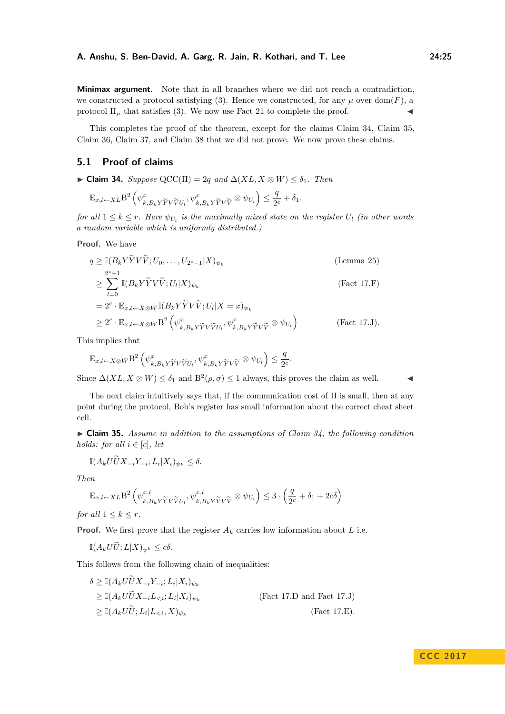**Minimax argument.** Note that in all branches where we did not reach a contradiction, we constructed a protocol satisfying [\(3\).](#page-22-1) Hence we constructed, for any  $\mu$  over dom(*F*), a protocol  $\Pi_{\mu}$  that satisfies [\(3\).](#page-22-1) We now use [Fact 21](#page-13-0) to complete the proof.

This completes the proof of the theorem, except for the claims [Claim 34,](#page-24-1) [Claim 35,](#page-24-0) [Claim 36,](#page-26-0) [Claim 37,](#page-27-0) and [Claim 38](#page-29-0) that we did not prove. We now prove these claims.

# **5.1 Proof of claims**

<span id="page-24-1"></span> $\blacktriangleright$  **Claim 34.** *Suppose* QCC(Π) = 2*q and*  $\Delta(XL, X \otimes W) \leq \delta_1$ *. Then* 

$$
\mathbb{E}_{x,l \leftarrow XL} \mathbf{B}^2 \left( \psi_{k,B_k Y \widetilde{Y} V \widetilde{V} U_l}^x, \psi_{k,B_k Y \widetilde{Y} V \widetilde{V}}^x \otimes \psi_{U_l} \right) \le \frac{q}{2^c} + \delta_1.
$$

*for all*  $1 \leq k \leq r$ *. Here*  $\psi_{U_l}$  *is the maximally mixed state on the register*  $U_l$  *(in other words a random variable which is uniformly distributed.)*

**Proof.** We have

$$
q \geq \mathbb{I}(B_k Y \tilde{Y} V \tilde{V}; U_0, \dots, U_{2^c-1} | X)_{\psi_k}
$$
 (Lemma 25)  
\n
$$
\geq \sum_{l=0}^{2^c-1} \mathbb{I}(B_k Y \tilde{Y} V \tilde{V}; U_l | X)_{\psi_k}
$$
 (Fact 17.F)  
\n
$$
= 2^c \cdot \mathbb{E}_{x, l \leftarrow X \otimes W} \mathbb{I}(B_k Y \tilde{Y} V \tilde{V}; U_l | X = x)_{\psi_k}
$$
  
\n
$$
\geq 2^c \cdot \mathbb{E}_{x, l \leftarrow X \otimes W} B^2 \left( \psi_{k, B_k Y \tilde{Y} V \tilde{V} U_l}, \psi_{k, B_k Y \tilde{Y} V \tilde{V}}^x \otimes \psi_{U_l} \right)
$$
 (Fact 17. J).

This implies that

$$
\mathbb{E}_{x,l\leftarrow X\otimes W} \mathcal{B}^2\left(\psi_{k,B_k Y \widetilde{Y} V \widetilde{V} U_l}^x, \psi_{k,B_k Y \widetilde{Y} V \widetilde{V}}^x \otimes \psi_{U_l}\right) \leq \frac{q}{2^c}.
$$

Since  $\Delta(XL, X \otimes W) \le \delta_1$  and  $B^2(\rho, \sigma) \le 1$  always, this proves the claim as well.

The next claim intuitively says that, if the communication cost of Π is small, then at any point during the protocol, Bob's register has small information about the correct cheat sheet cell.

<span id="page-24-0"></span>I **Claim 35.** *Assume in addition to the assumptions of [Claim 34,](#page-24-1) the following condition holds:* for all  $i \in [c]$ , let

$$
\mathbb{I}(A_k U \widetilde{U} X_{-i} Y_{-i}; L_i | X_i)_{\psi_k} \le \delta.
$$

*Then*

$$
\mathbb{E}_{x,l \leftarrow XL} \mathbf{B}^2 \left( \psi_{k,B_k Y \widetilde{Y} V \widetilde{V} U_l}^{x,l}, \psi_{k,B_k Y \widetilde{Y} V \widetilde{V}}^{x,l} \otimes \psi_{U_l} \right) \leq 3 \cdot \left( \frac{q}{2^c} + \delta_1 + 2c \delta \right)
$$

*for all*  $1 \leq k \leq r$ *.* 

**Proof.** We first prove that the register  $A_k$  carries low information about  $L$  i.e.

$$
\mathbb{I}(A_k U\widetilde{U}; L|X)_{\psi^k} \leq c\delta.
$$

This follows from the following chain of inequalities:

 $\delta \geq \mathbb{I}(A_k U \widetilde{U} X_{-i} Y_{-i}; L_i | X_i)_{\psi_k}$  $\geq \mathbb{I}(A_k U \widetilde{U} X_{-i} L_{< i}; L_i | X_i)_{\psi_k}$ [\(Fact 17.D](#page-9-2) and [Fact 17.J\)](#page-10-1)  $\geq \mathbb{I}(A_k U \widetilde{U}; L_i | L_{< i}, X)_{\psi_k}$ [\(Fact 17.E\)](#page-9-5)*.*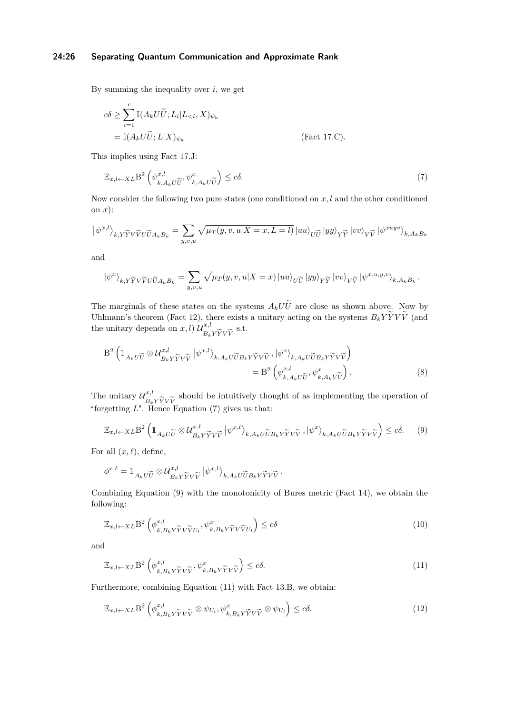#### **24:26 Separating Quantum Communication and Approximate Rank**

By summing the inequality over *i*, we get

$$
c\delta \ge \sum_{i=1}^{c} \mathbb{I}(A_k U \widetilde{U}; L_i | L_{\le i}, X)_{\psi_k}
$$
  
=  $\mathbb{I}(A_k U \widetilde{U}; L | X)_{\psi_k}$  (Fact 17.C).

This implies using [Fact 17.J:](#page-10-1)

<span id="page-25-0"></span>
$$
\mathbb{E}_{x,l \leftarrow XL} \mathcal{B}^2 \left( \psi_{k,A_k U \widetilde{U}}^{x,l}, \psi_{k,A_k U \widetilde{U}}^x \right) \leq c \delta. \tag{7}
$$

Now consider the following two pure states (one conditioned on *x, l* and the other conditioned on *x*):

$$
\left| \psi^{x,l} \right\rangle_{k,Y\widetilde Y V\widetilde V U \widetilde U A_k B_k} = \sum_{y,v,u} \sqrt{\mu_T(y,v,u|X=x,L=l)} \left| u u \right\rangle_{U \widetilde U} \left| y y \right\rangle_{Y \widetilde Y} \left| v v \right\rangle_{V \widetilde V} \left| \psi^{x u y v} \right\rangle_{k,A_k B_k}
$$

and

$$
\left|\psi^x\right\rangle_{k,Y\widetilde Y V\widetilde V U\widetilde U A_k B_k} = \sum_{y,v,u} \sqrt{\mu_T(y,v,u|X=x)} \left|uu\right\rangle_{U\widetilde U} \left|yy\right\rangle_{Y\widetilde Y} \left|vv\right\rangle_{V\widetilde V} \left|\psi^{x,u,y,v}\right\rangle_{k,A_k B_k}.
$$

The marginals of these states on the systems  $A_k U\tilde{U}$  are close as shown above. Now by Uhlmann's theorem [\(Fact 12\)](#page-8-2), there exists a unitary acting on the systems  $B_k Y \tilde{Y} V \tilde{V}$  (and the unitary depends on  $x, l$   $\mathcal{U}_{\alpha}^{x,l}$  $B_k$ *YYVV* s.t.

$$
B^{2} \left( \mathbb{1}_{A_{k}U\widetilde{U}} \otimes \mathcal{U}_{B_{k}Y\widetilde{Y}V\widetilde{V}}^{x,l} \left| \psi^{x,l} \right\rangle_{k,A_{k}U\widetilde{U}B_{k}Y\widetilde{Y}V\widetilde{V}}, \left| \psi^{x} \right\rangle_{k,A_{k}U\widetilde{U}B_{k}Y\widetilde{Y}V\widetilde{V}} \right) = B^{2} \left( \psi_{k,A_{k}U\widetilde{U}}^{x,l}, \psi_{k,A_{k}U\widetilde{U}}^{x} \right). \tag{8}
$$

The unitary  $\mathcal{U}_{\mathbf{p}}^{x,l}$ *B*<sup>*k*</sup>*YYVV*<br>**Hence** l should be intuitively thought of as implementing the operation of "forgetting *L*". Hence Equation [\(7\)](#page-25-0) gives us that:

<span id="page-25-1"></span>
$$
\mathbb{E}_{x,l\leftarrow XL} \mathcal{B}^2 \left( \mathbbm{1}_{A_k U\widetilde{U}} \otimes \mathcal{U}_{B_k Y \widetilde{Y} V \widetilde{V}}^{x,l} \middle| \psi^{x,l} \right)_{k, A_k U\widetilde{U} B_k Y \widetilde{Y} V \widetilde{V}}, \left| \psi^x \right\rangle_{k, A_k U\widetilde{U} B_k Y \widetilde{Y} V \widetilde{V}} \right) \leq c \delta. \tag{9}
$$

For all  $(x, \ell)$ , define,

$$
\phi^{x,\ell} = \mathbb{1}_{A_k U \widetilde{U}} \otimes \mathcal{U}_{B_k Y \widetilde{Y} V \widetilde{V}}^{x,l} \left| \psi^{x,l} \right\rangle_{k, A_k U \widetilde{U} B_k Y \widetilde{Y} V \widetilde{V}}.
$$

Combining Equation [\(9\)](#page-25-1) with the monotonicity of Bures metric [\(Fact 14\)](#page-9-6), we obtain the following:

<span id="page-25-3"></span>
$$
\mathbb{E}_{x,l \leftarrow XL} \mathbf{B}^2 \left( \phi_{k, B_k Y \widetilde{Y} V \widetilde{V} U_l}^{x,l}, \psi_{k, B_k Y \widetilde{Y} V \widetilde{V} U_l}^{x} \right) \leq c \delta
$$
\n<sup>(10)</sup>

and

<span id="page-25-2"></span>
$$
\mathbb{E}_{x,l \leftarrow XL} \mathbf{B}^2 \left( \phi_{k, B_k Y \widetilde{Y} V \widetilde{V}}^{x,l}, \psi_{k, B_k Y \widetilde{Y} V \widetilde{V}}^x \right) \leq c \delta. \tag{11}
$$

Furthermore, combining Equation [\(11\)](#page-25-2) with Fact [13.B,](#page-8-1) we obtain:

<span id="page-25-4"></span>
$$
\mathbb{E}_{x,l \leftarrow XL} \mathcal{B}^2 \left( \phi_{k,B_k Y \widetilde{Y} V \widetilde{V}}^{x,l} \otimes \psi_{U_l}, \psi_{k,B_k Y \widetilde{Y} V \widetilde{V}}^x \otimes \psi_{U_l} \right) \leq c \delta.
$$
\n(12)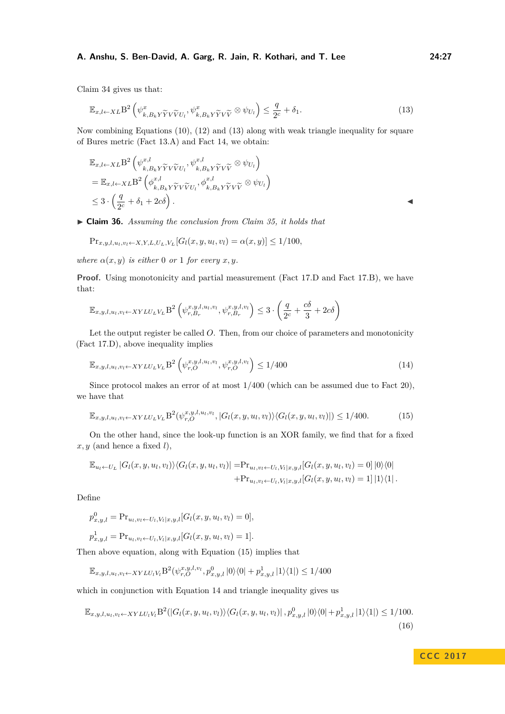[Claim 34](#page-24-1) gives us that:

<span id="page-26-1"></span>
$$
\mathbb{E}_{x,l \leftarrow XL} \mathcal{B}^2 \left( \psi_{k,B_k Y \widetilde{Y} V \widetilde{V} U_l}^x, \psi_{k,B_k Y \widetilde{Y} V \widetilde{V}}^x \otimes \psi_{U_l} \right) \le \frac{q}{2^c} + \delta_1. \tag{13}
$$

Now combining Equations [\(10\)](#page-25-3), [\(12\)](#page-25-4) and [\(13\)](#page-26-1) along with weak triangle inequality for square of Bures metric [\(Fact 13.A\)](#page-8-3) and [Fact 14,](#page-9-6) we obtain:

$$
\mathbb{E}_{x,l\leftarrow XL} \mathbf{B}^2 \left( \psi_{k,B_k Y \widetilde{Y} V \widetilde{V} U_l}^{x,l}, \psi_{k,B_k Y \widetilde{Y} V \widetilde{V}}^{x,l} \otimes \psi_{U_l} \right) \n= \mathbb{E}_{x,l\leftarrow XL} \mathbf{B}^2 \left( \phi_{k,B_k Y \widetilde{Y} V \widetilde{V} U_l}^{x,l}, \phi_{k,B_k Y \widetilde{Y} V \widetilde{V}}^{x,l} \otimes \psi_{U_l} \right) \n\leq 3 \cdot \left( \frac{q}{2^c} + \delta_1 + 2c\delta \right).
$$

<span id="page-26-0"></span>I **Claim 36.** *Assuming the conclusion from [Claim 35,](#page-24-0) it holds that*

$$
\Pr_{x,y,l,u_l,v_l \leftarrow X,Y,L,U_L,V_L} [G_l(x,y,u_l,v_l) = \alpha(x,y)] \le 1/100,
$$

*where*  $\alpha(x, y)$  *is either* 0 *or* 1 *for every x*, *y*.

**Proof.** Using monotonicity and partial measurement [\(Fact 17.D](#page-9-2) and [Fact 17.B\)](#page-9-3), we have that:

$$
\mathbb{E}_{x,y,l,u_l,v_l \leftarrow XYLU_LV_L} \mathbf{B}^2 \left( \psi_{r,B_r}^{x,y,l,u_l,v_l}, \psi_{r,B_r}^{x,y,l,v_l} \right) \le 3 \cdot \left( \frac{q}{2^c} + \frac{c\delta}{3} + 2c\delta \right)
$$

Let the output register be called *O*. Then, from our choice of parameters and monotonicity [\(Fact 17.D\)](#page-9-2), above inequality implies

<span id="page-26-3"></span>
$$
\mathbb{E}_{x,y,l,u_l,v_l \leftarrow XYLU_LV_L} \mathbf{B}^2 \left( \psi_{r,O}^{x,y,l,u_l,v_l}, \psi_{r,O}^{x,y,l,v_l} \right) \le 1/400 \tag{14}
$$

Since protocol makes an error of at most 1*/*400 (which can be assumed due to [Fact 20\)](#page-13-2), we have that

<span id="page-26-2"></span>
$$
\mathbb{E}_{x,y,l,u_l,v_l \leftarrow XYLU_LV_L} B^2(\psi_{r,O}^{x,y,l,u_l,v_l}, |G_l(x,y,u_l,v_l)\rangle \langle G_l(x,y,u_l,v_l)|) \le 1/400. \tag{15}
$$

On the other hand, since the look-up function is an XOR family, we find that for a fixed  $x, y$  (and hence a fixed  $l$ ),

$$
\mathbb{E}_{u_l \leftarrow U_L} |G_l(x, y, u_l, v_l)\rangle \langle G_l(x, y, u_l, v_l)| = \Pr_{u_l, v_l \leftarrow U_l, V_l | x, y, l} [G_l(x, y, u_l, v_l) = 0] |0\rangle \langle 0|
$$
  
+
$$
\Pr_{u_l, v_l \leftarrow U_l, V_l | x, y, l} [G_l(x, y, u_l, v_l) = 1] |1\rangle \langle 1|.
$$

Define

$$
p_{x,y,l}^0 = \Pr_{u_l, v_l \leftarrow U_l, V_l | x, y, l} [G_l(x, y, u_l, v_l) = 0],
$$

$$
p_{x,y,l}^1 = \Pr_{u_l, v_l \leftarrow U_l, V_l | x, y, l} [G_l(x, y, u_l, v_l) = 1].
$$

Then above equation, along with Equation [\(15\)](#page-26-2) implies that

<span id="page-26-4"></span>
$$
\mathbb{E}_{x,y,l,u_l,v_l \leftarrow XYLU_lV_l} B^2(\psi_{r,O}^{x,y,l,v_l}, p_{x,y,l}^0 |0\rangle\langle 0| + p_{x,y,l}^1 |1\rangle\langle 1|) \le 1/400
$$

which in conjunction with Equation [14](#page-26-3) and triangle inequality gives us

$$
\mathbb{E}_{x,y,l,u_l,v_l \leftarrow XYLU_lV_l}\mathcal{B}^2(|G_l(x,y,u_l,v_l)\rangle\langle G_l(x,y,u_l,v_l)|,p_{x,y,l}^0|0\rangle\langle 0|+p_{x,y,l}^1|1\rangle\langle 1|) \le 1/100.
$$
\n(16)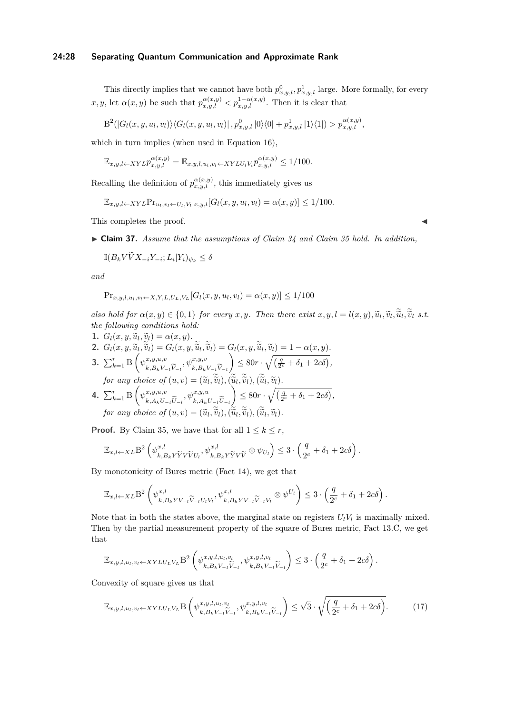#### **24:28 Separating Quantum Communication and Approximate Rank**

This directly implies that we cannot have both  $p_{x,y,l}^0, p_{x,y,l}^1$  large. More formally, for every *x, y,* let  $\alpha(x, y)$  be such that  $p_{x,y,l}^{\alpha(x,y)} < p_{x,y,l}^{1-\alpha(x,y)}$ . Then it is clear that

$$
B^2(|G_l(x,y,u_l,v_l)\rangle\langle G_l(x,y,u_l,v_l)|,p^0_{x,y,l}|0\rangle\langle 0|+p^1_{x,y,l}|1\rangle\langle 1|)>p^{\alpha(x,y)}_{x,y,l},
$$

which in turn implies (when used in Equation [16\)](#page-26-4),

$$
\mathbb{E}_{x,y,l\leftarrow XYL} p_{x,y,l}^{\alpha(x,y)} = \mathbb{E}_{x,y,l,u_l,v_l\leftarrow XYLU_lV_l} p_{x,y,l}^{\alpha(x,y)} \le 1/100.
$$

Recalling the definition of  $p_{x,y,l}^{\alpha(x,y)}$ , this immediately gives us

$$
\mathbb{E}_{x,y,l\leftarrow XYL}Pr_{u_l,v_l\leftarrow U_l,V_l|x,y,l}[G_l(x,y,u_l,v_l)=\alpha(x,y)]\leq 1/100.
$$

This completes the proof.

<span id="page-27-0"></span>I **Claim 37.** *Assume that the assumptions of [Claim 34](#page-24-1) and [Claim 35](#page-24-0) hold. In addition,*

$$
\mathbb{I}(B_k V \widetilde{V} X_{-i} Y_{-i}; L_i | Y_i)_{\psi_k} \le \delta
$$

*and*

$$
\Pr_{x,y,l,u_l,v_l \leftarrow X,Y,L,U_L,V_L}[G_l(x,y,u_l,v_l) = \alpha(x,y)] \le 1/100
$$

also hold for  $\alpha(x, y) \in \{0, 1\}$  for every  $x, y$ . Then there exist  $x, y, l = l(x, y), \tilde{u}_l, \tilde{v}_l, \tilde{u}_l, \tilde{v}_l$  s.t. *the following conditions hold:*

- **1.**  $G_l(x, y, \tilde{u}_l, \tilde{v}_l) = \alpha(x, y)$ .<br> **2.**  $G(\alpha, y, \tilde{v}_l, \tilde{v}_l) = G(\alpha, y)$ .
- **2.**  $G_l(x, y, \widetilde{u}_l, \widetilde{v}_l) = G_l(x, y, \widetilde{u}_l, \widetilde{v}_l) = G_l(x, y, \widetilde{u}_l, \widetilde{v}_l) = 1 \alpha(x, y).$
- **3.**  $\sum_{k=1}^{r} \text{B} \left( \psi_{i,R,V}^{x,y,u,v} \right)$  $k, B_k V_{-l} V_{-l}$  $, \psi^{x,y,v}$ *k*,*B*<sup>*k*</sup>*V*−*l*</sub>*V*−*l*<sub>*i*</sub> $\approx$   $\approx$   $\approx$  $\left( \frac{q}{2^{c}} + \delta_1 + 2c\delta \right)$  $for any choice of (u, v) = (\tilde{u}_l, \tilde{v}_l), (\tilde{u}_l, \tilde{v}_l), (\tilde{u}_l, \tilde{v}_l).$
- **4.**  $\sum_{k=1}^{r} \text{B} \left( \psi_{k}^{x,y,u,v} \right)$ *k*,  $A_k U_{-l} U_{-l}$  $, \psi^{x,y,u}$ *k*, *A*<sup>*k*</sup>*U*−*l*</sub>*U*<sub>−*l*</sub><sup> $\approx$ </sup>  $\approx$   $\approx$   $\approx$   $\approx$  $\left( \frac{q}{2^c} + \delta_1 + 2c\delta \right)$ *for any choice of*  $(u, v) = (\tilde{u}_l, \tilde{v}_l), (\tilde{u}_l, \tilde{v}_l), (\tilde{u}_l, \tilde{v}_l)$ .

**Proof.** By [Claim 35,](#page-24-0) we have that for all  $1 \leq k \leq r$ ,

$$
\mathbb{E}_{x,l \leftarrow XL} B^2 \left( \psi_{k,B_k Y \widetilde{Y} V \widetilde{V} U_l}^{x,l}, \psi_{k,B_k Y \widetilde{Y} V \widetilde{V}}^{x,l} \otimes \psi_{U_l} \right) \leq 3 \cdot \left( \frac{q}{2^c} + \delta_1 + 2c \delta \right).
$$

By monotonicity of Bures metric [\(Fact 14\)](#page-9-6), we get that

$$
\mathbb{E}_{x,l \leftarrow XL} \mathbf{B}^2 \left( \psi_{k,B_k Y V_{-l} \widetilde{V}_{-l} U_l V_l}^{x,l}, \psi_{k,B_k Y V_{-l} \widetilde{V}_{-l} V_l}^{x,l} \otimes \psi^{U_l} \right) \leq 3 \cdot \left( \frac{q}{2^c} + \delta_1 + 2c \delta \right).
$$

Note that in both the states above, the marginal state on registers  $U_l V_l$  is maximally mixed. Then by the partial measurement property of the square of Bures metric, [Fact 13.C,](#page-8-0) we get that

$$
\mathbb{E}_{x,y,l,u_l,v_l \leftarrow XYLU_LV_L} \mathcal{B}^2\left(\psi_{k,B_kV_{-l}}^{x,y,l,u_l,v_l}, \psi_{k,B_kV_{-l}}^{x,y,l,v_l}\right) \le 3 \cdot \left(\frac{q}{2^c} + \delta_1 + 2c\delta\right).
$$

Convexity of square gives us that

<span id="page-27-1"></span>
$$
\mathbb{E}_{x,y,l,u_l,v_l \leftarrow XYLU_LV_L} \mathcal{B}\left(\psi_{k,B_kV_{-l}\widetilde{V}_{-l}}^{x,y,l,u_l,v_l},\psi_{k,B_kV_{-l}\widetilde{V}_{-l}}^{x,y,l,v_l}\right) \leq \sqrt{3} \cdot \sqrt{\left(\frac{q}{2^c} + \delta_1 + 2c\delta\right)}.\tag{17}
$$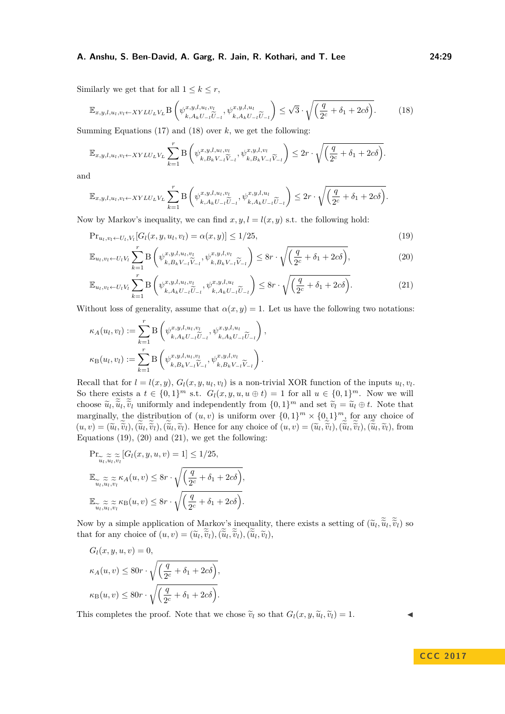Similarly we get that for all  $1 \leq k \leq r$ ,

<span id="page-28-0"></span>
$$
\mathbb{E}_{x,y,l,u_l,v_l \leftarrow XYLU_LV_L} \mathcal{B}\left(\psi_{k,A_kU_{-l}\widetilde{U}_{-l}}^{x,y,l,u_l,v_l},\psi_{k,A_kU_{-l}\widetilde{U}_{-l}}^{x,y,l,u_l}\right) \leq \sqrt{3} \cdot \sqrt{\left(\frac{q}{2^c} + \delta_1 + 2c\delta\right)}. \tag{18}
$$

Summing Equations [\(17\)](#page-27-1) and [\(18\)](#page-28-0) over *k*, we get the following:

$$
\mathbb{E}_{x,y,l,u_l,v_l \leftarrow XYLU_LV_L} \sum_{k=1}^r \mathcal{B}\left(\psi_{k,B_kV_{-l}}^{x,y,l,u_l,v_l}, \psi_{k,B_kV_{-l}}^{x,y,l,v_l}\right) \leq 2r \cdot \sqrt{\left(\frac{q}{2^c} + \delta_1 + 2c\delta\right)}.
$$

and

$$
\mathbb{E}_{x,y,l,u_l,v_l \leftarrow XYLU_LV_L} \sum_{k=1}^r \mathcal{B}\left(\psi_{k,A_kU_{-l}\widetilde{U}_{-l}}^{x,y,l,u_l,v_l}, \psi_{k,A_kU_{-l}\widetilde{U}_{-l}}^{x,y,l,u_l}\right) \leq 2r \cdot \sqrt{\left(\frac{q}{2^c} + \delta_1 + 2c\delta\right)}.
$$

Now by Markov's inequality, we can find  $x, y, l = l(x, y)$  s.t. the following hold:

$$
\Pr_{u_l, v_l \leftarrow U_l, V_l} [G_l(x, y, u_l, v_l) = \alpha(x, y)] \le 1/25,
$$
\n(19)

<span id="page-28-2"></span><span id="page-28-1"></span>
$$
\mathbb{E}_{u_l, v_l \leftarrow U_l V_l} \sum_{k=1}^r \mathcal{B}\left(\psi_{k, B_k V_{-l} \widetilde{V}_{-l}}^{x, y, l, u_l, v_l}, \psi_{k, B_k V_{-l} \widetilde{V}_{-l}}^{x, y, l, v_l}\right) \le 8r \cdot \sqrt{\left(\frac{q}{2^c} + \delta_1 + 2c\delta\right)},\tag{20}
$$

<span id="page-28-3"></span>
$$
\mathbb{E}_{u_l, v_l \leftarrow U_l V_l} \sum_{k=1}^r \mathcal{B}\left(\psi_{k, A_k U_{-l} \widetilde{U}_{-l}}^{x, y, l, u_l, v_l}, \psi_{k, A_k U_{-l} \widetilde{U}_{-l}}^{x, y, l, u_l}\right) \le 8r \cdot \sqrt{\left(\frac{q}{2^c} + \delta_1 + 2c\delta\right)}.
$$
\n(21)

Without loss of generality, assume that  $\alpha(x, y) = 1$ . Let us have the following two notations:

$$
\kappa_A(u_l, v_l) := \sum_{k=1}^r \mathcal{B}\left(\psi_{k, A_k U_{-l}}^{x, y, l, u_l, v_l}, \psi_{k, A_k U_{-l}}^{x, y, l, u_l}\right),
$$
  

$$
\kappa_B(u_l, v_l) := \sum_{k=1}^r \mathcal{B}\left(\psi_{k, B_k V_{-l}}^{x, y, l, u_l, v_l}, \psi_{k, B_k V_{-l}}^{x, y, l, v_l}\right).
$$

Recall that for  $l = l(x, y)$ ,  $G_l(x, y, u_l, v_l)$  is a non-trivial XOR function of the inputs  $u_l, v_l$ . So there exists a  $t \in \{0,1\}^m$  s.t.  $G_l(x, y, u, u \oplus t) = 1$  for all  $u \in \{0,1\}^m$ . Now we will choose  $\tilde{u}_l, \tilde{u}_l, \tilde{v}_l$  uniformly and independently from  $\{0, 1\}^m$  and set  $\tilde{v}_l = \tilde{u}_l \oplus t$ . Note that marginally, the distribution of  $(u, v)$  is uniform over  $\{0, 1\}^m \times \{0, 1\}^m$ , for any choice of  $(u, v) = (\tilde{u}_l, \tilde{v}_l), (\tilde{u}_l, \tilde{v}_l), (\tilde{u}_l, \tilde{v}_l)$ . Hence for any choice of  $(u, v) = (\tilde{u}_l, \tilde{v}_l), (\tilde{u}_l, \tilde{v}_l), (\tilde{u}_l, \tilde{v}_l)$ , from Equations  $(19)$ ,  $(20)$  and  $(21)$ , we get the following:

$$
\begin{aligned} &\Pr_{\widetilde{u}_l,\widetilde{u}_l,\widetilde{v}_l}[G_l(x,y,u,v)=1]\leq 1/25,\\ &\mathbb{E}_{\widetilde{u}_l,\widetilde{u}_l,\widetilde{v}_l}\approx \kappa_A(u,v)\leq 8r\cdot\sqrt{\left(\frac{q}{2^c}+\delta_1+2c\delta\right)},\\ &\mathbb{E}_{\widetilde{u}_l,\widetilde{u}_l,\widetilde{v}_l}\approx \kappa_\text{B}(u,v)\leq 8r\cdot\sqrt{\left(\frac{q}{2^c}+\delta_1+2c\delta\right)}. \end{aligned}
$$

Now by a simple application of Markov's inequality, there exists a setting of  $(\tilde{u}_l, \tilde{u}_l, \tilde{v}_l)$  so<br>that for any choice of  $(u, u)$ ,  $(\tilde{z}, \tilde{z})$ ,  $(\tilde{z}, \tilde{z})$ ,  $(\tilde{z}, \tilde{z})$ that for any choice of  $(u, v) = (\tilde{u}_l, \tilde{v}_l), (\tilde{u}_l, \tilde{v}_l), (\tilde{u}_l, \tilde{v}_l)$ ,

$$
G_l(x, y, u, v) = 0,
$$
  
\n
$$
\kappa_A(u, v) \le 80r \cdot \sqrt{\left(\frac{q}{2^c} + \delta_1 + 2c\delta\right)},
$$
  
\n
$$
\kappa_B(u, v) \le 80r \cdot \sqrt{\left(\frac{q}{2^c} + \delta_1 + 2c\delta\right)}.
$$

This completes the proof. Note that we chose  $\tilde{v}_l$  so that  $G_l(x, y, \tilde{u}_l, \tilde{v}_l) = 1.$ 

**C C C 2 0 1 7**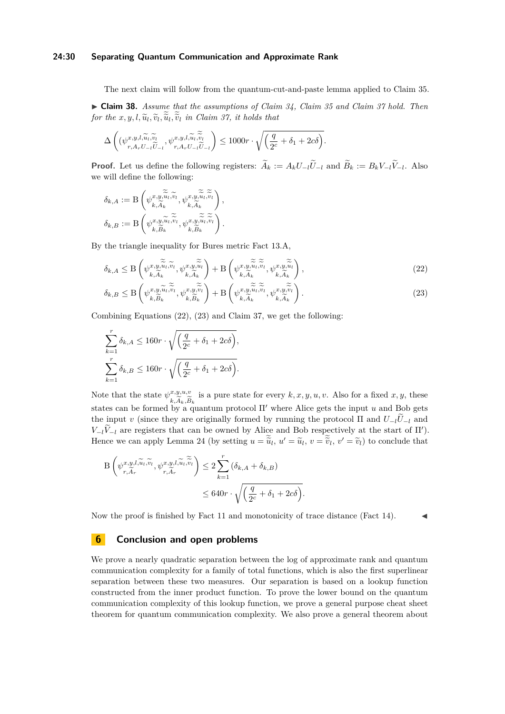#### **24:30 Separating Quantum Communication and Approximate Rank**

The next claim will follow from the quantum-cut-and-paste lemma applied to [Claim 35.](#page-24-0)

<span id="page-29-0"></span>I **Claim 38.** *Assume that the assumptions of [Claim 34,](#page-24-1) [Claim 35](#page-24-0) and [Claim 37](#page-27-0) hold. Then for the*  $x, y, l, \tilde{u}_l, \tilde{v}_l, \tilde{u}_l, \tilde{v}_l$  *in [Claim 37,](#page-27-0) it holds that* 

$$
\Delta\left( (\psi_{r,A_rU_{-l}\widetilde U_{-l}}^{x,y,l,\widetilde u_l,\widetilde v_l},\psi_{r,A_rU_{-l}\widetilde U_{-l}}^{x,y,l,\widetilde u_l,\widetilde v_l}\right)\leq 1000r\cdot \sqrt{\left(\frac{q}{2^c}+\delta_1+2c\delta\right)}.
$$

**Proof.** Let us define the following registers:  $A_k := A_k U_{-l} U_{-l}$  and  $B_k := B_k V_{-l} V_{-l}$ . Also we will define the following:

$$
\delta_{k,A} := \mathcal{B}\left(\psi_{k,\widetilde{A}_k}^{x,y,\widetilde{\widetilde{u}}_l,\widetilde{v}_l}, \psi_{k,\widetilde{A}_k}^{x,y,\widetilde{\widetilde{u}}_l,\widetilde{\widetilde{v}}_l}\right),
$$

$$
\delta_{k,B} := \mathcal{B}\left(\psi_{k,\widetilde{B}_k}^{x,y,\widetilde{u}_l,\widetilde{\widetilde{v}}_l}, \psi_{k,\widetilde{B}_k}^{x,y,\widetilde{\widetilde{u}}_l,\widetilde{\widetilde{v}}_l}\right).
$$

By the triangle inequality for Bures metric [Fact 13.A,](#page-8-3)

<span id="page-29-1"></span>
$$
\delta_{k,A} \leq \mathcal{B}\left(\psi_{k,\widetilde{A}_{k}}^{x,y,\widetilde{\widetilde{u}}_{l},\widetilde{v}_{l}} , \psi_{k,\widetilde{A}_{k}}^{x,y,\widetilde{\widetilde{u}}_{l}}\right) + \mathcal{B}\left(\psi_{k,\widetilde{A}_{k}}^{x,y,\widetilde{\widetilde{u}}_{l},\widetilde{v}_{l}} , \psi_{k,\widetilde{A}_{k}}^{x,y,\widetilde{\widetilde{u}}_{l}}\right),\tag{22}
$$

<span id="page-29-2"></span>
$$
\delta_{k,B} \leq \mathcal{B}\left(\psi_{k,\widetilde{B}_{k}}^{x,y,\widetilde{u}_{l},\widetilde{v}_{l}},\psi_{k,\widetilde{B}_{k}}^{x,y,\widetilde{v}_{l}}\right) + \mathcal{B}\left(\psi_{k,\widetilde{A}_{k}}^{x,y,\widetilde{\widetilde{u}}_{l},\widetilde{v}_{l}} ,\psi_{k,\widetilde{A}_{k}}^{x,y,\widetilde{\widetilde{v}}_{l}}\right).
$$
\n(23)

Combining Equations [\(22\)](#page-29-1), [\(23\)](#page-29-2) and [Claim 37,](#page-27-0) we get the following:

$$
\sum_{k=1}^{r} \delta_{k,A} \le 160r \cdot \sqrt{\left(\frac{q}{2^c} + \delta_1 + 2c\delta\right)},
$$
  

$$
\sum_{k=1}^{r} \delta_{k,B} \le 160r \cdot \sqrt{\left(\frac{q}{2^c} + \delta_1 + 2c\delta\right)}.
$$

Note that the state  $\psi^{x,y,u,v}_{\widetilde{\gamma}}$  is a pure state for every  $k, x, y, u, v$ . Also for a fixed  $x, y$ , these states can be formed by a quantum protocol Π' where Alice gets the input *u* and Bob gets the input *v* (since they are originally formed by running the protocol  $\Pi$  and  $U_{-l}U_{-l}$  and *V*<sup>−*l*</sub>*V*<sup>−*l*</sup><sup>*l*</sup> are registers that can be owned by Alice and Bob respectively at the start of  $\Pi'$ ).</sup> Hence we can apply [Lemma 24](#page-15-1) (by setting  $u = \tilde{u}_l$ ,  $u' = \tilde{u}_l$ ,  $v = \tilde{v}_l$ ,  $v' = \tilde{v}_l$ ) to conclude that

$$
\begin{split} \mathcal{B}\left(\psi_{r,\widetilde{A}_{r}}^{x,y,l,\widetilde{u}_{l},\widetilde{v}_{l}},\psi_{r,\widetilde{A}_{r}}^{x,y,l,\widetilde{u}_{l},\widetilde{\widetilde{v}}_{l}}\right) &\leq 2\sum_{k=1}^{r}\left(\delta_{k,A}+\delta_{k,B}\right) \\ &\leq 640r\cdot\sqrt{\left(\frac{q}{2^{c}}+\delta_{1}+2c\delta\right)}. \end{split}
$$

Now the proof is finished by [Fact 11](#page-8-4) and monotonicity of trace distance [\(Fact 14\)](#page-9-6).

### **6 Conclusion and open problems**

We prove a nearly quadratic separation between the log of approximate rank and quantum communication complexity for a family of total functions, which is also the first superlinear separation between these two measures. Our separation is based on a lookup function constructed from the inner product function. To prove the lower bound on the quantum communication complexity of this lookup function, we prove a general purpose cheat sheet theorem for quantum communication complexity. We also prove a general theorem about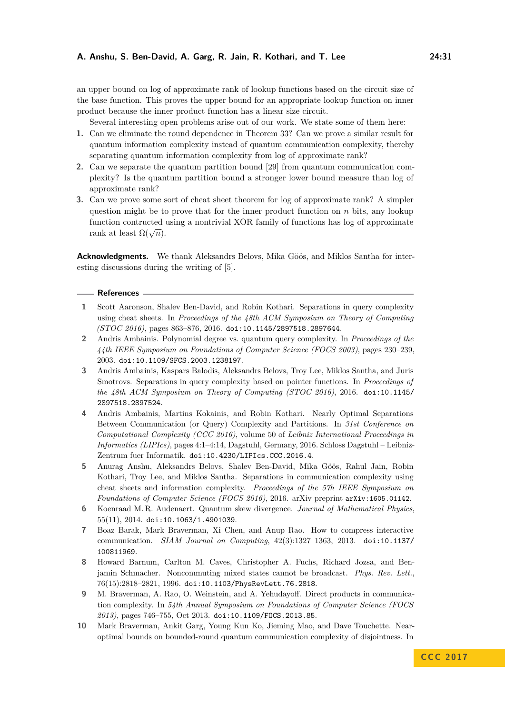an upper bound on log of approximate rank of lookup functions based on the circuit size of the base function. This proves the upper bound for an appropriate lookup function on inner product because the inner product function has a linear size circuit.

Several interesting open problems arise out of our work. We state some of them here:

- **1.** Can we eliminate the round dependence in [Theorem 33?](#page-20-0) Can we prove a similar result for quantum information complexity instead of quantum communication complexity, thereby separating quantum information complexity from log of approximate rank?
- **2.** Can we separate the quantum partition bound [\[29\]](#page-32-20) from quantum communication complexity? Is the quantum partition bound a stronger lower bound measure than log of approximate rank?
- **3.** Can we prove some sort of cheat sheet theorem for log of approximate rank? A simpler question might be to prove that for the inner product function on *n* bits, any lookup function contructed using a nontrivial XOR family of functions has log of approximate rank at least  $\Omega(\sqrt{n})$ .

**Acknowledgments.** We thank Aleksandrs Belovs, Mika Göös, and Miklos Santha for interesting discussions during the writing of [\[5\]](#page-30-1).

#### **References**

- <span id="page-30-4"></span>**1** Scott Aaronson, Shalev Ben-David, and Robin Kothari. Separations in query complexity using cheat sheets. In *Proceedings of the 48th ACM Symposium on Theory of Computing (STOC 2016)*, pages 863–876, 2016. [doi:10.1145/2897518.2897644](http://dx.doi.org/10.1145/2897518.2897644).
- <span id="page-30-2"></span>**2** Andris Ambainis. Polynomial degree vs. quantum query complexity. In *Proceedings of the 44th IEEE Symposium on Foundations of Computer Science (FOCS 2003)*, pages 230–239, 2003. [doi:10.1109/SFCS.2003.1238197](http://dx.doi.org/10.1109/SFCS.2003.1238197).
- <span id="page-30-3"></span>**3** Andris Ambainis, Kaspars Balodis, Aleksandrs Belovs, Troy Lee, Miklos Santha, and Juris Smotrovs. Separations in query complexity based on pointer functions. In *Proceedings of the 48th ACM Symposium on Theory of Computing (STOC 2016)*, 2016. [doi:10.1145/](http://dx.doi.org/10.1145/2897518.2897524) [2897518.2897524](http://dx.doi.org/10.1145/2897518.2897524).
- <span id="page-30-7"></span>**4** Andris Ambainis, Martins Kokainis, and Robin Kothari. Nearly Optimal Separations Between Communication (or Query) Complexity and Partitions. In *31st Conference on Computational Complexity (CCC 2016)*, volume 50 of *Leibniz International Proceedings in Informatics (LIPIcs)*, pages 4:1–4:14, Dagstuhl, Germany, 2016. Schloss Dagstuhl – Leibniz-Zentrum fuer Informatik. [doi:10.4230/LIPIcs.CCC.2016.4](http://dx.doi.org/10.4230/LIPIcs.CCC.2016.4).
- <span id="page-30-1"></span>**5** Anurag Anshu, Aleksandrs Belovs, Shalev Ben-David, Mika Göös, Rahul Jain, Robin Kothari, Troy Lee, and Miklos Santha. Separations in communication complexity using cheat sheets and information complexity. *Proceedings of the 57h IEEE Symposium on Foundations of Computer Science (FOCS 2016)*, 2016. arXiv preprint [arXiv:1605.01142](http://arxiv.org/abs/arXiv:1605.01142).
- <span id="page-30-9"></span>**6** Koenraad M. R. Audenaert. Quantum skew divergence. *Journal of Mathematical Physics*, 55(11), 2014. [doi:10.1063/1.4901039](http://dx.doi.org/10.1063/1.4901039).
- <span id="page-30-5"></span>**7** Boaz Barak, Mark Braverman, Xi Chen, and Anup Rao. How to compress interactive communication. *SIAM Journal on Computing*, 42(3):1327–1363, 2013. [doi:10.1137/](http://dx.doi.org/10.1137/100811969) [100811969](http://dx.doi.org/10.1137/100811969).
- <span id="page-30-8"></span>**8** Howard Barnum, Carlton M. Caves, Christopher A. Fuchs, Richard Jozsa, and Benjamin Schmacher. Noncommuting mixed states cannot be broadcast. *Phys. Rev. Lett.*, 76(15):2818–2821, 1996. [doi:10.1103/PhysRevLett.76.2818](http://dx.doi.org/10.1103/PhysRevLett.76.2818).
- <span id="page-30-6"></span>**9** M. Braverman, A. Rao, O. Weinstein, and A. Yehudayoff. Direct products in communication complexity. In *54th Annual Symposium on Foundations of Computer Science (FOCS 2013)*, pages 746–755, Oct 2013. [doi:10.1109/FOCS.2013.85](http://dx.doi.org/10.1109/FOCS.2013.85).
- <span id="page-30-0"></span>**10** Mark Braverman, Ankit Garg, Young Kun Ko, Jieming Mao, and Dave Touchette. Nearoptimal bounds on bounded-round quantum communication complexity of disjointness. In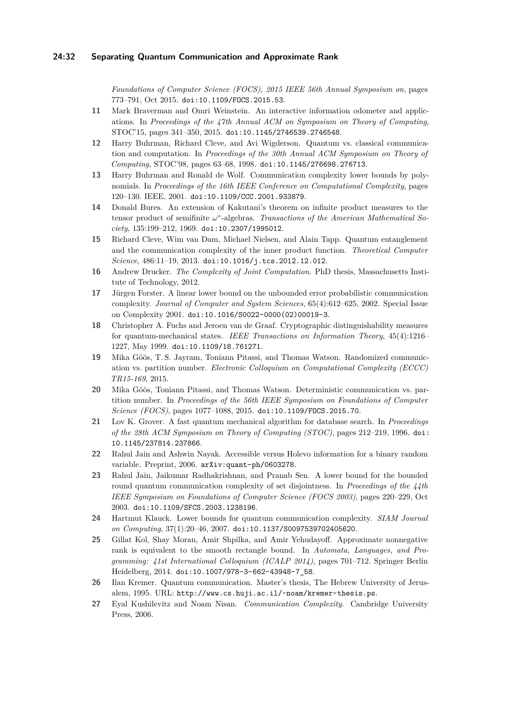*Foundations of Computer Science (FOCS), 2015 IEEE 56th Annual Symposium on*, pages 773–791, Oct 2015. [doi:10.1109/FOCS.2015.53](http://dx.doi.org/10.1109/FOCS.2015.53).

- <span id="page-31-6"></span>**11** Mark Braverman and Omri Weinstein. An interactive information odometer and applications. In *Proceedings of the 47th Annual ACM on Symposium on Theory of Computing*, STOC'15, pages 341–350, 2015. [doi:10.1145/2746539.2746548](http://dx.doi.org/10.1145/2746539.2746548).
- <span id="page-31-10"></span>**12** Harry Buhrman, Richard Cleve, and Avi Wigderson. Quantum vs. classical communication and computation. In *Proceedings of the 30th Annual ACM Symposium on Theory of Computing*, STOC'98, pages 63–68, 1998. [doi:10.1145/276698.276713](http://dx.doi.org/10.1145/276698.276713).
- <span id="page-31-1"></span>**13** Harry Buhrman and Ronald de Wolf. Communication complexity lower bounds by polynomials. In *Proceedings of the 16th IEEE Conference on Computational Complexity*, pages 120–130. IEEE, 2001. [doi:10.1109/CCC.2001.933879](http://dx.doi.org/10.1109/CCC.2001.933879).
- <span id="page-31-13"></span>**14** Donald Bures. An extension of Kakutani's theorem on infinite product measures to the tensor product of semifinite  $ω^*$ -algebras. *Transactions of the American Mathematical Society*, 135:199–212, 1969. [doi:10.2307/1995012](http://dx.doi.org/10.2307/1995012).
- <span id="page-31-15"></span>**15** Richard Cleve, Wim van Dam, Michael Nielsen, and Alain Tapp. Quantum entanglement and the communication complexity of the inner product function. *Theoretical Computer Science*, 486:11–19, 2013. [doi:10.1016/j.tcs.2012.12.012](http://dx.doi.org/10.1016/j.tcs.2012.12.012).
- <span id="page-31-7"></span>**16** Andrew Drucker. *The Complexity of Joint Computation*. PhD thesis, Massachusetts Institute of Technology, 2012.
- <span id="page-31-16"></span>**17** Jürgen Forster. A linear lower bound on the unbounded error probabilistic communication complexity. *Journal of Computer and System Sciences*, 65(4):612–625, 2002. Special Issue on Complexity 2001. [doi:10.1016/S0022-0000\(02\)00019-3](http://dx.doi.org/10.1016/S0022-0000(02)00019-3).
- <span id="page-31-12"></span>**18** Christopher A. Fuchs and Jeroen van de Graaf. Cryptographic distinguishability measures for quantum-mechanical states. *IEEE Transactions on Information Theory*, 45(4):1216– 1227, May 1999. [doi:10.1109/18.761271](http://dx.doi.org/10.1109/18.761271).
- <span id="page-31-5"></span>**19** Mika Göös, T. S. Jayram, Toniann Pitassi, and Thomas Watson. Randomized communication vs. partition number. *Electronic Colloquium on Computational Complexity (ECCC) [TR15-169](http://eccc.hpi-web.de/report/2015/169/)*, 2015.
- <span id="page-31-3"></span>**20** Mika Göös, Toniann Pitassi, and Thomas Watson. Deterministic communication vs. partition number. In *Proceedings of the 56th IEEE Symposium on Foundations of Computer Science (FOCS)*, pages 1077–1088, 2015. [doi:10.1109/FOCS.2015.70](http://dx.doi.org/10.1109/FOCS.2015.70).
- <span id="page-31-9"></span>**21** Lov K. Grover. A fast quantum mechanical algorithm for database search. In *Proceedings of the 28th ACM Symposium on Theory of Computing (STOC)*, pages 212–219, 1996. [doi:](http://dx.doi.org/10.1145/237814.237866) [10.1145/237814.237866](http://dx.doi.org/10.1145/237814.237866).
- <span id="page-31-14"></span>**22** Rahul Jain and Ashwin Nayak. Accessible versus Holevo information for a binary random variable. Preprint, 2006. [arXiv:quant-ph/0603278](http://arxiv.org/abs/quant-ph/0603278).
- <span id="page-31-8"></span>**23** Rahul Jain, Jaikumar Radhakrishnan, and Pranab Sen. A lower bound for the bounded round quantum communication complexity of set disjointness. In *Proceedings of the 44th IEEE Symposium on Foundations of Computer Science (FOCS 2003)*, pages 220–229, Oct 2003. [doi:10.1109/SFCS.2003.1238196](http://dx.doi.org/10.1109/SFCS.2003.1238196).
- <span id="page-31-2"></span>**24** Hartmut Klauck. Lower bounds for quantum communication complexity. *SIAM Journal on Computing*, 37(1):20–46, 2007. [doi:10.1137/S0097539702405620](http://dx.doi.org/10.1137/S0097539702405620).
- <span id="page-31-4"></span>**25** Gillat Kol, Shay Moran, Amir Shpilka, and Amir Yehudayoff. Approximate nonnegative rank is equivalent to the smooth rectangle bound. In *Automata, Languages, and Programming: 41st International Colloquium (ICALP 2014)*, pages 701–712. Springer Berlin Heidelberg, 2014. [doi:10.1007/978-3-662-43948-7\\_58](http://dx.doi.org/10.1007/978-3-662-43948-7_58).
- <span id="page-31-0"></span>**26** Ilan Kremer. Quantum communication. Master's thesis, The Hebrew University of Jerusalem, 1995. URL: <http://www.cs.huji.ac.il/~noam/kremer-thesis.ps>.
- <span id="page-31-11"></span>**27** Eyal Kushilevitz and Noam Nisan. *Communication Complexity*. Cambridge University Press, 2006.